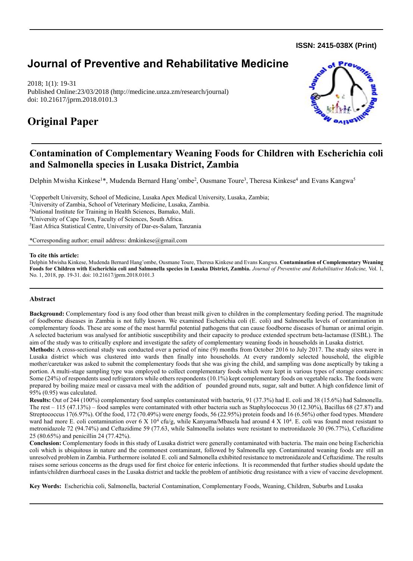**ISSN: 2415-038X (Print)** 

# **Journal of Preventive and Rehabilitative Medicine**

2018; 1(1): 19-31 Published Online:23/03/2018 (http://medicine.unza.zm/research/journal) doi: 10.21617/jprm.2018.0101.3

## **Original Paper**



## **Contamination of Complementary Weaning Foods for Children with Escherichia coli and Salmonella species in Lusaka District, Zambia**

Delphin Mwisha Kinkese<sup>1\*</sup>, Mudenda Bernard Hang'ombe<sup>2</sup>, Ousmane Toure<sup>3</sup>, Theresa Kinkese<sup>4</sup> and Evans Kangwa<sup>5</sup>

Copperbelt University, School of Medicine, Lusaka Apex Medical University, Lusaka, Zambia; University of Zambia, School of Veterinary Medicine, Lusaka, Zambia. National Institute for Training in Health Sciences, Bamako, Mali. University of Cape Town, Faculty of Sciences, South Africa. East Africa Statistical Centre, University of Dar-es-Salam, Tanzania

\*Corresponding author; email address: dmkinkese@gmail.com

#### **To cite this article:**

Delphin Mwisha Kinkese, Mudenda Bernard Hang'ombe, Ousmane Toure, Theresa Kinkese and Evans Kangwa. **Contamination of Complementary Weaning Foods for Children with Escherichia coli and Salmonella species in Lusaka District, Zambia.** *Journal of Preventive and Rehabilitative Medicine,* Vol. 1, No. 1, 2018, pp. 19-31. doi: 10.21617/jprm.2018.0101.3

### **Abstract**

**Background:** Complementary food is any food other than breast milk given to children in the complementary feeding period. The magnitude of foodborne diseases in Zambia is not fully known. We examined Escherichia coli (E. coli) and Salmonella levels of contamination in complementary foods. These are some of the most harmful potential pathogens that can cause foodborne diseases of human or animal origin. A selected bacterium was analysed for antibiotic susceptibility and their capacity to produce extended spectrum beta-lactamase (ESBL). The aim of the study was to critically explore and investigate the safety of complementary weaning foods in households in Lusaka district.

**Methods:** A cross-sectional study was conducted over a period of nine (9) months from October 2016 to July 2017. The study sites were in Lusaka district which was clustered into wards then finally into households. At every randomly selected household, the eligible mother/caretaker was asked to submit the complementary foods that she was giving the child, and sampling was done aseptically by taking a portion. A multi-stage sampling type was employed to collect complementary foods which were kept in various types of storage containers: Some (24%) of respondents used refrigerators while others respondents (10.1%) kept complementary foods on vegetable racks. The foods were prepared by boiling maize meal or cassava meal with the addition of pounded ground nuts, sugar, salt and butter. A high confidence limit of 95% (0.95) was calculated.

**Results:** Out of 244 (100%) complementary food samples contaminated with bacteria, 91 (37.3%) had E. coli and 38 (15.6%) had Salmonella. The rest – 115 (47.13%) – food samples were contaminated with other bacteria such as Staphylococcus 30 (12.30%), Bacillus 68 (27.87) and Streptococcus 17(6.97%). Of the food, 172 (70.49%) were energy foods, 56 (22.95%) protein foods and 16 (6.56%) other food types. Mtendere ward had more E. coli contamination over  $6 \times 10^4$  cfu/g, while Kanyama/Mbasela had around  $4 \times 10^4$ . E. coli was found most resistant to metronidazole 72 (94.74%) and Ceftazidime 59 (77.63, while Salmonella isolates were resistant to metronidazole 30 (96.77%), Ceftazidime 25 (80.65%) and penicillin 24 (77.42%).

**Conclusion:** Complementary foods in this study of Lusaka district were generally contaminated with bacteria. The main one being Escherichia coli which is ubiquitous in nature and the commonest contaminant, followed by Salmonella spp. Contaminated weaning foods are still an unresolved problem in Zambia. Furthermore isolated E. coli and Salmonella exhibited resistance to metronidazole and Ceftazidime. The results raises some serious concerns as the drugs used for first choice for enteric infections. It is recommended that further studies should update the infants/children diarrhoeal cases in the Lusaka district and tackle the problem of antibiotic drug resistance with a view of vaccine development.

**Key Words:** Escherichia coli, Salmonella, bacterial Contamination, Complementary Foods, Weaning, Children, Suburbs and Lusaka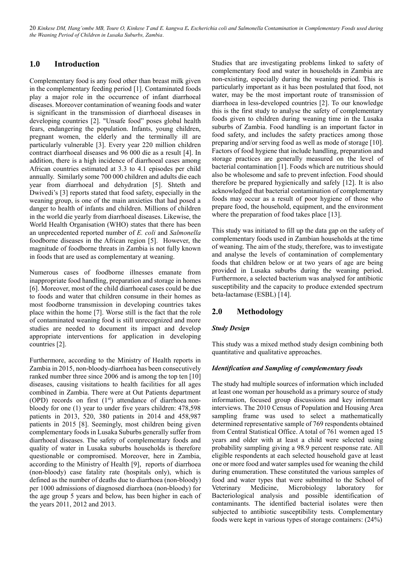## **1.0 Introduction**

Complementary food is any food other than breast milk given in the complementary feeding period [1]. Contaminated foods play a major role in the occurrence of infant diarrhoeal diseases. Moreover contamination of weaning foods and water is significant in the transmission of diarrhoeal diseases in developing countries [2]. "Unsafe food" poses global health fears, endangering the population. Infants, young children, pregnant women, the elderly and the terminally ill are particularly vulnerable [3]. Every year 220 million children contract diarrhoeal diseases and 96 000 die as a result [4]. In addition, there is a high incidence of diarrhoeal cases among African countries estimated at 3.3 to 4.1 episodes per child annually. Similarly some 700 000 children and adults die each year from diarrhoeal and dehydration [5]. Shteth and Dwivedi's [3] reports stated that food safety, especially in the weaning group, is one of the main anxieties that had posed a danger to health of infants and children. Millions of children in the world die yearly from diarrhoeal diseases. Likewise, the World Health Organisation (WHO) states that there has been an unprecedented reported number of *E. coli* and *Salmonella* foodborne diseases in the African region [5]. However, the magnitude of foodborne threats in Zambia is not fully known in foods that are used as complementary at weaning.

Numerous cases of foodborne illnesses emanate from inappropriate food handling, preparation and storage in homes [6]. Moreover, most of the child diarrhoeal cases could be due to foods and water that children consume in their homes as most foodborne transmission in developing countries takes place within the home [7]. Worse still is the fact that the role of contaminated weaning food is still unrecognized and more studies are needed to document its impact and develop appropriate interventions for application in developing countries [2].

Furthermore, according to the Ministry of Health reports in Zambia in 2015, non-bloody-diarrhoea has been consecutively ranked number three since 2006 and is among the top ten [10] diseases, causing visitations to health facilities for all ages combined in Zambia. There were at Out Patients department (OPD) records on first  $(1<sup>st</sup>)$  attendance of diarrhoea nonbloody for one (1) year to under five years children: 478,598 patients in 2013, 520, 380 patients in 2014 and 458,987 patients in 2015 [8]. Seemingly, most children being given complementary foods in Lusaka Suburbs generally suffer from diarrhoeal diseases. The safety of complementary foods and quality of water in Lusaka suburbs households is therefore questionable or compromised. Moreover, here in Zambia, according to the Ministry of Health [9], reports of diarrhoea (non-bloody) case fatality rate (hospitals only), which is defined as the number of deaths due to diarrhoea (non-bloody) per 1000 admissions of diagnosed diarrhoea (non-bloody) for the age group 5 years and below, has been higher in each of the years 2011, 2012 and 2013.

Studies that are investigating problems linked to safety of complementary food and water in households in Zambia are non-existing, especially during the weaning period. This is particularly important as it has been postulated that food, not water, may be the most important route of transmission of diarrhoea in less-developed countries [2]. To our knowledge this is the first study to analyse the safety of complementary foods given to children during weaning time in the Lusaka suburbs of Zambia. Food handling is an important factor in food safety, and includes the safety practices among those preparing and/or serving food as well as mode of storage [10]. Factors of food hygiene that include handling, preparation and storage practices are generally measured on the level of bacterial contamination [1]. Foods which are nutritious should also be wholesome and safe to prevent infection. Food should therefore be prepared hygienically and safely [12]. It is also acknowledged that bacterial contamination of complementary foods may occur as a result of poor hygiene of those who prepare food, the household, equipment, and the environment where the preparation of food takes place [13].

This study was initiated to fill up the data gap on the safety of complementary foods used in Zambian households at the time of weaning. The aim of the study, therefore, was to investigate and analyse the levels of contamination of complementary foods that children below or at two years of age are being provided in Lusaka suburbs during the weaning period. Furthermore, a selected bacterium was analysed for antibiotic susceptibility and the capacity to produce extended spectrum beta-lactamase (ESBL) [14].

### **2.0 Methodology**

#### *Study Design*

This study was a mixed method study design combining both quantitative and qualitative approaches.

#### *Identification and Sampling of complementary foods*

The study had multiple sources of information which included at least one woman per household as a primary source of study information, focused group discussions and key informant interviews. The 2010 Census of Population and Housing Area sampling frame was used to select a mathematically determined representative sample of 769 respondents obtained from Central Statistical Office. A total of 761 women aged 15 years and older with at least a child were selected using probability sampling giving a 98.9 percent response rate. All eligible respondents at each selected household gave at least one or more food and water samples used for weaning the child during enumeration. These constituted the various samples of food and water types that were submitted to the School of Veterinary Medicine, Microbiology laboratory for Bacteriological analysis and possible identification of contaminants. The identified bacterial isolates were then subjected to antibiotic susceptibility tests. Complementary foods were kept in various types of storage containers: (24%)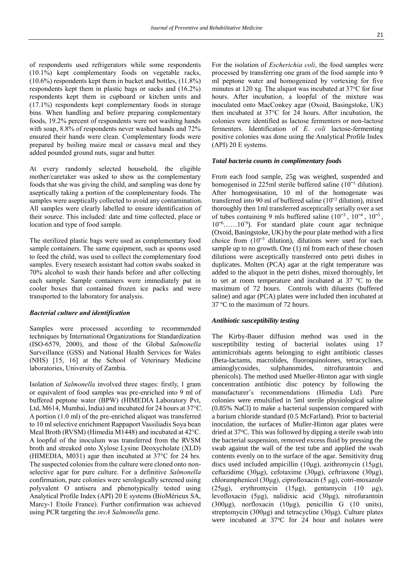of respondents used refrigerators while some respondents (10.1%) kept complementary foods on vegetable racks, (10.6%) respondents kept them in bucket and bottles, (11.8%) respondents kept them in plastic bags or sacks and (16.2%) respondents kept them in cupboard or kitchen units and (17.1%) respondents kept complementary foods in storage bins. When handling and before preparing complementary foods, 19.2% percent of respondents were not washing hands with soap, 8.8% of respondents never washed hands and 72% ensured their hands were clean. Complementary foods were prepared by boiling maize meal or cassava meal and they added pounded ground nuts, sugar and butter.

At every randomly selected household, the eligible mother/caretaker was asked to show us the complementary foods that she was giving the child, and sampling was done by aseptically taking a portion of the complementary foods. The samples were aseptically collected to avoid any contamination. All samples were clearly labelled to ensure identification of their source. This included: date and time collected, place or location and type of food sample.

The sterilized plastic bags were used as complementary food sample containers. The same equipment, such as spoons used to feed the child, was used to collect the complementary food samples. Every research assistant had cotton swabs soaked in 70% alcohol to wash their hands before and after collecting each sample. Sample containers were immediately put in cooler boxes that contained frozen ice packs and were transported to the laboratory for analysis.

#### *Bacterial culture and identification*

Samples were processed according to recommended techniques by International Organizations for Standardization (ISO-6579, 2000), and those of the Global *Salmonella* Surveillance (GSS) and National Health Services for Wales (NHS) [15, 16] at the School of Veterinary Medicine laboratories, University of Zambia.

Isolation of *Salmonella* involved three stages: firstly, 1 gram or equivalent of food samples was pre-enriched into 9 ml of buffered peptone water (BPW) (HIMEDIA Laboratory Pvt, Ltd, M614, Mumbai, India) and incubated for 24 hours at 37°C. A portion (1.0 ml) of the pre-enriched aliquot was transferred to 10 ml selective enrichment Rappaport Vassiliadis Soya bean Meal Broth (RVSM) (Himedia M1448) and incubated at 42°C. A loopful of the inoculum was transferred from the RVSM broth and streaked onto Xylose Lysine Deoxycholate (XLD) (HIMEDIA, M031) agar then incubated at 37°C for 24 hrs. The suspected colonies from the culture were cloned onto nonselective agar for pure culture. For a definitive *Salmonella* confirmation, pure colonies were serologically screened using polyvalent O antisera and phenotypically tested using Analytical Profile Index (API) 20 E systems (BioMérieux SA, Marcy-1 Etoile France). Further confirmation was achieved using PCR targeting the *invA Salmonella* gene.

For the isolation of *Escherichia coli*, the food samples were processed by transferring one gram of the food sample into 9 ml peptone water and homogenized by vortexing for five minutes at 120 xg. The aliquot was incubated at  $37^{\circ}$ C for four hours. After incubation, a loopful of the mixture was inoculated onto MacConkey agar (Oxoid, Basingstoke, UK) then incubated at 37°C for 24 hours. After incubation, the colonies were identified as lactose fermenters or non-lactose fermenters. Identification of *E. coli* lactose-fermenting positive colonies was done using the Analytical Profile Index (API) 20 E systems.

#### *Total bacteria counts in complimentary foods*

From each food sample, 25g was weighed, suspended and homogenised in 225ml sterile buffered saline  $(10^{-1}$  dilution). After homogenisation, 10 ml of the homogenate was transferred into 90 ml of buffered saline  $(10^{-2}$  dilution), mixed thoroughly then 1ml transferred asceptically serially over a set of tubes containing 9 mls buffered saline  $(10^{-3}, 10^{-4}, 10^{-5},$  $10^{-6}$ ......10<sup>-9</sup>). For standard plate count agar technique (Oxoid, Basingstoke, UK) by the pour plate method with a first choice from  $(10^{-3}$  dilution), dilutions were used for each sample up to no growth. One (1) ml from each of these chosen dilutions were asceptically transferred onto petri dishes in duplicates. Molten (PCA) agar at the right temperature was added to the aliquot in the petri dishes, mixed thoroughly, let to set at room temperature and incubated at 37 ºC to the maximum of 72 hours. Controls with diluents (buffered saline) and agar (PCA) plates were included then incubated at 37 ºC to the maximum of 72 hours.

#### *Antibiotic susceptibility testing*

The Kirby-Bauer diffusion method was used in the susceptibility testing of bacterial isolates using 17 antimicrobials agents belonging to eight antibiotic classes (Beta-lactams, macrolides, fluoroquinolones, tetracyclines, aminoglycosides, sulphanomides, nitrofurantoin and phenicols). The method used Mueller-Hinton agar with single concentration antibiotic disc potency by following the manufacturer's recommendations (Himedia Ltd). Pure colonies were emulsified in 5ml sterile physiological saline (0.85% NaCl) to make a bacterial suspension compared with a barium chloride standard (0.5 McFarland). Prior to bacterial inoculation, the surfaces of Muller-Hinton agar plates were dried at 37°C. This was followed by dipping a sterile swab into the bacterial suspension, removed excess fluid by pressing the swab against the wall of the test tube and applied the swab contents evenly on to the surface of the agar. Sensitivity drug discs used included ampicillin (10μg), azithromycin (15μg), ceftazidime (30μg), cefotaxime (30μg), ceftriaxone (30μg), chloramphenicol (30μg), ciprofloxacin (5 μg), cotri-moxazole (25μg), erythromycin (15μg), gentamycin (10 μg), levofloxacin (5μg), nalidixic acid (30μg), nitrofurantoin (300μg), norfloxacin (10μg), penicillin G (10 units), streptomycin (300μg) and tetracycline (30μg). Culture plates were incubated at  $37^{\circ}$ C for 24 hour and isolates were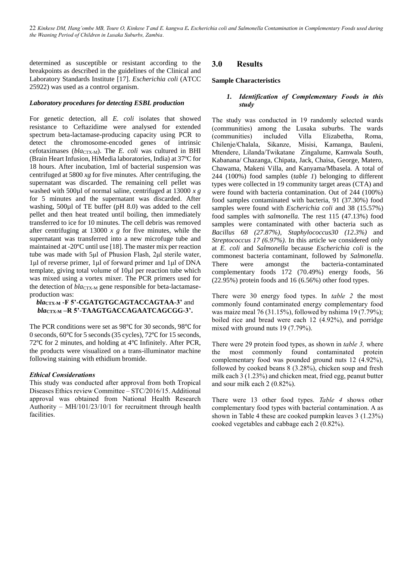determined as susceptible or resistant according to the breakpoints as described in the guidelines of the Clinical and Laboratory Standards Institute [17]. *Escherichia coli* (ATCC 25922) was used as a control organism.

#### *Laboratory procedures for detecting ESBL production*

For genetic detection, all *E. coli* isolates that showed resistance to Ceftazidime were analysed for extended spectrum beta-lactamase-producing capacity using PCR to detect the chromosome-encoded genes of intrinsic cefotaximases  $(bla_{\text{CTX-M}})$ . The *E. coli* was cultured in BHI (Brain Heart Infusion, HiMedia laboratories, India) at 37ºC for 18 hours. After incubation, 1ml of bacterial suspension was centrifuged at 5800 *xg* for five minutes. After centrifuging, the supernatant was discarded. The remaining cell pellet was washed with 500µl of normal saline, centrifuged at 13000 *x g* for 5 minutes and the supernatant was discarded. After washing, 500µl of TE buffer (pH 8.0) was added to the cell pellet and then heat treated until boiling, then immediately transferred to ice for 10 minutes. The cell debris was removed after centrifuging at 13000 *x g* for five minutes, while the supernatant was transferred into a new microfuge tube and maintained at -20ºC until use [18]. The master mix per reaction tube was made with 5μl of Phusion Flash, 2μl sterile water, 1μl of reverse primer, 1μl of forward primer and 1μl of DNA template, giving total volume of 10μl per reaction tube which was mixed using a vortex mixer. The PCR primers used for the detection of *bla*<sub>CTX-M</sub> gene responsible for beta-lactamaseproduction was:

#### *bla***CTX-M -F 5'-CGATGTGCAGTACCAGTAA-3'** and *bla***CTX-M –R 5'-TAAGTGACCAGAATCAGCGG-3'.**

The PCR conditions were set as 98℃ for 30 seconds, 98℃ for 0 seconds, 60℃ for 5 seconds (35 cycles), 72℃ for 15 seconds, 72℃ for 2 minutes, and holding at 4℃ Infinitely. After PCR, the products were visualized on a trans-illuminator machine following staining with ethidium bromide.

#### *Ethical Considerations*

This study was conducted after approval from both Tropical Diseases Ethics review Committee – STC/2016/15. Additional approval was obtained from National Health Research Authority – MH/101/23/10/1 for recruitment through health facilities.

## **3.0 Results**

#### **Sample Characteristics**

#### *1. Identification of Complementary Foods in this study*

The study was conducted in 19 randomly selected wards (communities) among the Lusaka suburbs. The wards (communities) included Villa Elizabetha, Roma, Chilenje/Chalala, Sikanze, Misisi, Kamanga, Bauleni, Mtendere, Lilanda/Twikatane Zingalume, Kamwala South, Kabanana/ Chazanga, Chipata, Jack, Chaisa, George, Matero, Chawama, Makeni Villa, and Kanyama/Mbasela. A total of 244 (100%) food samples (*table 1*) belonging to different types were collected in 19 community target areas (CTA) and were found with bacteria contamination. Out of 244 (100%) food samples contaminated with bacteria, 91 (37.30%) food samples were found with *Escherichia coli* and 38 (15.57%) food samples with *salmonella.* The rest 115 (47.13%) food samples were contaminated with other bacteria such as *Bacillus 68 (27.87%)*, *Staphylococcus30 (12.3%)* and *Streptococcus 17 (6.97%)*. In this article we considered only at *E. coli* and *Salmonella* because *Escherichia coli* is the commonest bacteria contaminant, followed by *Salmonella*. There were amongst the bacteria-contaminated complementary foods 172 (70.49%) energy foods, 56 (22.95%) protein foods and 16 (6.56%) other food types.

There were 30 energy food types. In *table 2* the most commonly found contaminated energy complementary food was maize meal 76 (31.15%), followed by nshima 19 (7.79%); boiled rice and bread were each 12 (4.92%), and porridge mixed with ground nuts 19 (7.79%).

There were 29 protein food types, as shown in *table 3,* where the most commonly found contaminated protein complementary food was pounded ground nuts 12 (4.92%), followed by cooked beans 8 (3.28%), chicken soup and fresh milk each 3 (1.23%) and chicken meat, fried egg, peanut butter and sour milk each 2 (0.82%).

There were 13 other food types. *Table 4* shows other complementary food types with bacterial contamination. A as shown in Table 4 these are cooked pumpkin leaves 3 (1.23%) cooked vegetables and cabbage each 2 (0.82%).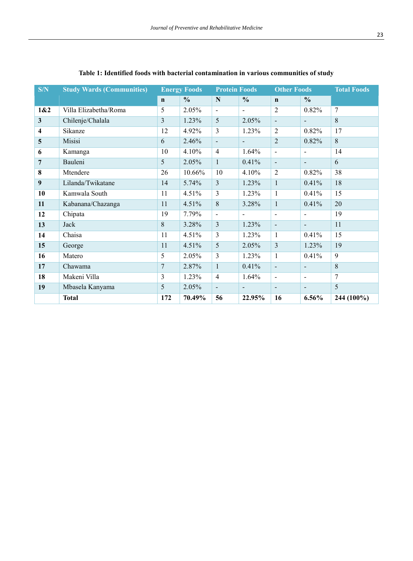| S/N                     | <b>Study Wards (Communities)</b> | <b>Energy Foods</b> |               | <b>Protein Foods</b>     |                | <b>Other Foods</b>       |                | <b>Total Foods</b> |
|-------------------------|----------------------------------|---------------------|---------------|--------------------------|----------------|--------------------------|----------------|--------------------|
|                         |                                  | $\mathbf n$         | $\frac{0}{0}$ | $\mathbf N$              | $\frac{0}{0}$  | $\mathbf n$              | $\frac{0}{0}$  |                    |
| 1&2                     | Villa Elizabetha/Roma            | 5                   | 2.05%         | $\blacksquare$           | $\blacksquare$ | $\overline{2}$           | 0.82%          | $\tau$             |
| $\mathbf{3}$            | Chilenje/Chalala                 | $\overline{3}$      | 1.23%         | 5                        | 2.05%          | $\overline{\phantom{a}}$ |                | 8                  |
| $\overline{\mathbf{4}}$ | Sikanze                          | 12                  | 4.92%         | 3                        | $1.23\%$       | 2                        | 0.82%          | 17                 |
| 5                       | Misisi                           | 6                   | 2.46%         | $\overline{\phantom{a}}$ | $\blacksquare$ | $\overline{2}$           | 0.82%          | 8                  |
| 6                       | Kamanga                          | 10                  | 4.10%         | $\overline{4}$           | 1.64%          | $\sim$                   | $\blacksquare$ | 14                 |
| 7                       | Bauleni                          | 5                   | 2.05%         | $\mathbf{1}$             | 0.41%          | $\overline{\phantom{a}}$ | $\blacksquare$ | 6                  |
| 8                       | Mtendere                         | 26                  | 10.66%        | 10                       | $4.10\%$       | 2                        | 0.82%          | 38                 |
| 9                       | Lilanda/Twikatane                | 14                  | 5.74%         | $\overline{3}$           | 1.23%          | $\mathbf{1}$             | 0.41%          | 18                 |
| 10                      | Kamwala South                    | 11                  | 4.51%         | 3                        | 1.23%          | 1                        | 0.41%          | 15                 |
| 11                      | Kabanana/Chazanga                | 11                  | 4.51%         | 8                        | 3.28%          | $\mathbf{1}$             | 0.41%          | 20                 |
| 12                      | Chipata                          | 19                  | 7.79%         | $\overline{\phantom{0}}$ | $\blacksquare$ | $\blacksquare$           | $\blacksquare$ | 19                 |
| 13                      | Jack                             | 8                   | 3.28%         | $\overline{3}$           | 1.23%          | $\blacksquare$           | $\blacksquare$ | 11                 |
| 14                      | Chaisa                           | 11                  | 4.51%         | 3                        | 1.23%          | $\mathbf{1}$             | 0.41%          | 15                 |
| 15                      | George                           | 11                  | 4.51%         | 5                        | 2.05%          | $\overline{3}$           | 1.23%          | 19                 |
| 16                      | Matero                           | 5                   | 2.05%         | 3                        | 1.23%          | $\mathbf{1}$             | 0.41%          | 9                  |
| 17                      | Chawama                          | 7                   | 2.87%         | $\mathbf{1}$             | 0.41%          | $\sim$                   | $\blacksquare$ | 8                  |
| 18                      | Makeni Villa                     | 3                   | 1.23%         | $\overline{4}$           | $1.64\%$       | $\sim$                   | $\blacksquare$ | 7                  |
| 19                      | Mbasela Kanyama                  | 5                   | 2.05%         | $\blacksquare$           | $\blacksquare$ | $\blacksquare$           | $\blacksquare$ | 5                  |
|                         | <b>Total</b>                     | 172                 | 70.49%        | 56                       | 22.95%         | 16                       | 6.56%          | 244 (100%)         |

## **Table 1: Identified foods with bacterial contamination in various communities of study**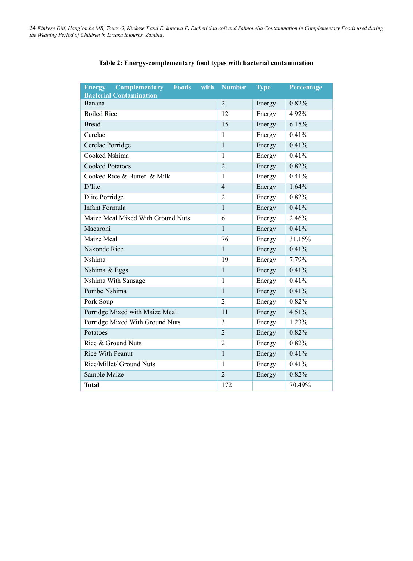| <b>Complementary</b><br><b>Foods</b><br>with<br><b>Energy</b><br><b>Bacterial Contamination</b> | <b>Number</b>  | <b>Type</b> | Percentage |
|-------------------------------------------------------------------------------------------------|----------------|-------------|------------|
| Banana                                                                                          | $\overline{2}$ | Energy      | 0.82%      |
| <b>Boiled Rice</b>                                                                              | 12             | Energy      | 4.92%      |
| <b>Bread</b>                                                                                    | 15             | Energy      | 6.15%      |
| Cerelac                                                                                         | $\mathbf{1}$   | Energy      | 0.41%      |
| Cerelac Porridge                                                                                | $\mathbf{1}$   | Energy      | 0.41%      |
| Cooked Nshima                                                                                   | $\mathbf{1}$   | Energy      | 0.41%      |
| <b>Cooked Potatoes</b>                                                                          | $\overline{2}$ | Energy      | 0.82%      |
| Cooked Rice & Butter & Milk                                                                     | $\mathbf{1}$   | Energy      | 0.41%      |
| D'lite                                                                                          | $\overline{4}$ | Energy      | 1.64%      |
| <b>Dlite Porridge</b>                                                                           | $\overline{2}$ | Energy      | 0.82%      |
| <b>Infant Formula</b>                                                                           | $\mathbf{1}$   | Energy      | 0.41%      |
| Maize Meal Mixed With Ground Nuts                                                               | 6              | Energy      | $2.46\%$   |
| Macaroni                                                                                        | $\mathbf{1}$   | Energy      | 0.41%      |
| Maize Meal                                                                                      | 76             | Energy      | 31.15%     |
| Nakonde Rice                                                                                    | $\mathbf{1}$   | Energy      | 0.41%      |
| Nshima                                                                                          | 19             | Energy      | 7.79%      |
| Nshima & Eggs                                                                                   | $\mathbf{1}$   | Energy      | 0.41%      |
| Nshima With Sausage                                                                             | $\mathbf{1}$   | Energy      | 0.41%      |
| Pombe Nshima                                                                                    | $\mathbf{1}$   | Energy      | 0.41%      |
| Pork Soup                                                                                       | $\overline{2}$ | Energy      | 0.82%      |
| Porridge Mixed with Maize Meal                                                                  | 11             | Energy      | 4.51%      |
| Porridge Mixed With Ground Nuts                                                                 | 3              | Energy      | 1.23%      |
| Potatoes                                                                                        | $\overline{2}$ | Energy      | 0.82%      |
| Rice & Ground Nuts                                                                              | $\overline{2}$ | Energy      | 0.82%      |
| <b>Rice With Peanut</b>                                                                         | $\mathbf{1}$   | Energy      | 0.41%      |
| Rice/Millet/ Ground Nuts                                                                        | $\mathbf{1}$   | Energy      | 0.41%      |
| Sample Maize                                                                                    | $\overline{2}$ | Energy      | 0.82%      |
| <b>Total</b>                                                                                    | 172            |             | 70.49%     |

## **Table 2: Energy-complementary food types with bacterial contamination**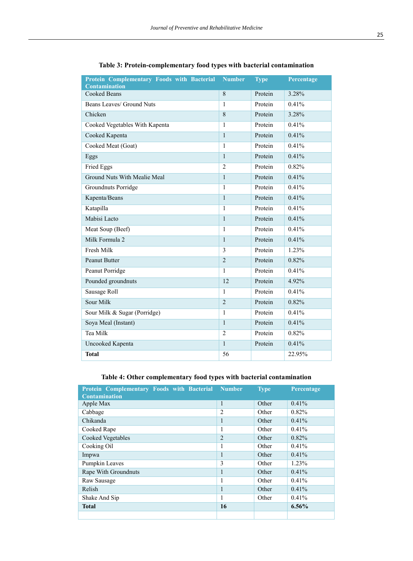| Protein Complementary Foods with Bacterial<br><b>Contamination</b> | <b>Number</b>  | <b>Type</b> | Percentage |
|--------------------------------------------------------------------|----------------|-------------|------------|
| <b>Cooked Beans</b>                                                | 8              | Protein     | 3.28%      |
| Beans Leaves/ Ground Nuts                                          | 1              | Protein     | 0.41%      |
| Chicken                                                            | 8              | Protein     | 3.28%      |
| Cooked Vegetables With Kapenta                                     | 1              | Protein     | 0.41%      |
| Cooked Kapenta                                                     | $\mathbf{1}$   | Protein     | 0.41%      |
| Cooked Meat (Goat)                                                 | 1              | Protein     | 0.41%      |
| Eggs                                                               | $\mathbf{1}$   | Protein     | 0.41%      |
| Fried Eggs                                                         | $\overline{c}$ | Protein     | 0.82%      |
| <b>Ground Nuts With Mealie Meal</b>                                | $\mathbf{1}$   | Protein     | 0.41%      |
| Groundnuts Porridge                                                | 1              | Protein     | 0.41%      |
| Kapenta/Beans                                                      | $\mathbf{1}$   | Protein     | 0.41%      |
| Katapilla                                                          | 1              | Protein     | 0.41%      |
| Mabisi Lacto                                                       | $\mathbf{1}$   | Protein     | 0.41%      |
| Meat Soup (Beef)                                                   | 1              | Protein     | 0.41%      |
| Milk Formula 2                                                     | $\mathbf{1}$   | Protein     | 0.41%      |
| Fresh Milk                                                         | 3              | Protein     | 1.23%      |
| Peanut Butter                                                      | $\overline{2}$ | Protein     | 0.82%      |
| <b>Peanut Porridge</b>                                             | 1              | Protein     | 0.41%      |
| Pounded groundnuts                                                 | 12             | Protein     | 4.92%      |
| Sausage Roll                                                       | 1              | Protein     | 0.41%      |
| Sour Milk                                                          | $\overline{2}$ | Protein     | 0.82%      |
| Sour Milk & Sugar (Porridge)                                       | $\mathbf{1}$   | Protein     | 0.41%      |
| Soya Meal (Instant)                                                | $\mathbf{1}$   | Protein     | 0.41%      |
| Tea Milk                                                           | $\overline{2}$ | Protein     | 0.82%      |
| Uncooked Kapenta                                                   | $\mathbf{1}$   | Protein     | 0.41%      |
| <b>Total</b>                                                       | 56             |             | 22.95%     |

## **Table 3: Protein-complementary food types with bacterial contamination**

## **Table 4: Other complementary food types with bacterial contamination**

| Protein Complementary Foods with Bacterial Number<br><b>Contamination</b> |                | <b>Type</b> | Percentage |
|---------------------------------------------------------------------------|----------------|-------------|------------|
| Apple Max                                                                 | 1              | Other       | 0.41%      |
| Cabbage                                                                   | 2              | Other       | 0.82%      |
| Chikanda                                                                  | -1             | Other       | 0.41%      |
| Cooked Rape                                                               | 1              | Other       | 0.41%      |
| Cooked Vegetables                                                         | $\overline{2}$ | Other       | 0.82%      |
| Cooking Oil                                                               | 1              | Other       | 0.41%      |
| Impwa                                                                     | 1              | Other       | 0.41%      |
| Pumpkin Leaves                                                            | 3              | Other       | 1.23%      |
| Rape With Groundnuts                                                      | 1              | Other       | 0.41%      |
| Raw Sausage                                                               | 1              | Other       | $0.41\%$   |
| Relish                                                                    | 1              | Other       | 0.41%      |
| Shake And Sip                                                             | 1              | Other       | 0.41%      |
| <b>Total</b>                                                              | 16             |             | $6.56\%$   |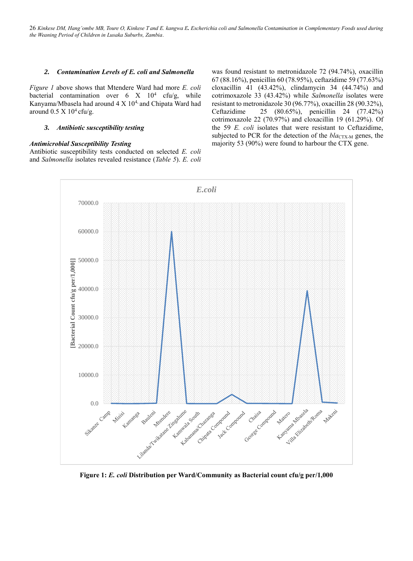#### *2. Contamination Levels of E. coli and Salmonella*

*Figure 1* above shows that Mtendere Ward had more *E. coli* bacterial contamination over  $6 \times 10^4$  cfu/g, while Kanyama/Mbasela had around  $4 \times 10^{4}$ , and Chipata Ward had around  $0.5 \times 10^4$  cfu/g.

#### *3. Antibiotic susceptibility testing*

#### *Antimicrobial Susceptibility Testing*

Antibiotic susceptibility tests conducted on selected *E. coli* and *Salmonella* isolates revealed resistance (*Table 5*). *E. coli* was found resistant to metronidazole 72 (94.74%), oxacillin 67 (88.16%), penicillin 60 (78.95%), ceftazidime 59 (77.63%) cloxacillin 41 (43.42%), clindamycin 34 (44.74%) and cotrimoxazole 33 (43.42%) while *Salmonella* isolates were resistant to metronidazole 30 (96.77%), oxacillin 28 (90.32%), Ceftazidime 25 (80.65%), penicillin 24 (77.42%) cotrimoxazole 22 (70.97%) and cloxacillin 19 (61.29%). Of the 59 *E. coli* isolates that were resistant to Ceftazidime, subjected to PCR for the detection of the *bla*<sub>CTX-M</sub> genes, the majority 53 (90%) were found to harbour the CTX gene.



**Figure 1:** *E. coli* **Distribution per Ward/Community as Bacterial count cfu/g per/1,000**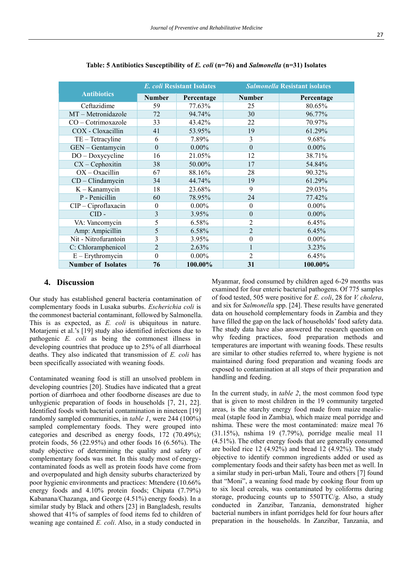|                           |                  | <b>E.</b> coli Resistant Isolates | <b>Salmonella Resistant isolates</b> |            |  |
|---------------------------|------------------|-----------------------------------|--------------------------------------|------------|--|
| <b>Antibiotics</b>        | <b>Number</b>    | Percentage                        | <b>Number</b>                        | Percentage |  |
| Ceftazidime               | 59               | 77.63%                            | 25                                   | 80.65%     |  |
| MT-Metronidazole          | 72               | 94.74%                            | 30                                   | 96.77%     |  |
| CO - Cotrimoxazole        | 33               | 43.42%                            | 22                                   | 70.97%     |  |
| COX - Cloxacillin         | 41               | 53.95%                            | 19                                   | 61.29%     |  |
| $TE - Tetracyline$        | 6                | 7.89%                             | 3                                    | 9.68%      |  |
| GEN - Gentamycin          | $\boldsymbol{0}$ | $0.00\%$                          | $\mathbf{0}$                         | $0.00\%$   |  |
| $DO - Doxycyclic$         | 16               | 21.05%                            | 12                                   | 38.71%     |  |
| $CX - Cephoxitin$         | 38               | 50.00%                            | 17                                   | 54.84%     |  |
| $OX - Oxacillin$          | 67               | 88.16%                            | 28                                   | 90.32%     |  |
| $CD$ – Clindamycin        | 34               | 44.74%                            | 19                                   | 61.29%     |  |
| $K -$ Kanamycin           | 18               | 23.68%                            | 9                                    | 29.03%     |  |
| P - Penicillin            | 60               | 78.95%                            | 24                                   | 77.42%     |  |
| $CIP$ – Ciproflaxacin     | $\theta$         | $0.00\%$                          | $\theta$                             | $0.00\%$   |  |
| $CID -$                   | 3                | 3.95%                             | $\theta$                             | $0.00\%$   |  |
| VA: Vancomycin            | 5                | 6.58%                             | $\overline{2}$                       | 6.45%      |  |
| Amp: Ampicillin           | 5                | 6.58%                             | $\overline{2}$                       | 6.45%      |  |
| Nit - Nitrofurantoin      | 3                | 3.95%                             | $\boldsymbol{0}$                     | $0.00\%$   |  |
| C: Chloramphenicol        | $\overline{2}$   | 2.63%                             | $\mathbf{1}$                         | 3.23%      |  |
| $E$ – Erythromycin        | $\theta$         | $0.00\%$                          | $\overline{2}$                       | 6.45%      |  |
| <b>Number of Isolates</b> | 76               | 100.00%                           | 31                                   | 100.00%    |  |

**Table: 5 Antibiotics Susceptibility of** *E. coli* **(n=76) and** *Salmonella* **(n=31) Isolates**

#### **4. Discussion**

Our study has established general bacteria contamination of complementary foods in Lusaka suburbs. *Escherichia coli* is the commonest bacterial contaminant, followed by Salmonella. This is as expected, as *E. coli* is ubiquitous in nature. Motarjemi et al.'s [19] study also identified infections due to pathogenic *E. coli* as being the commonest illness in developing countries that produce up to 25% of all diarrhoeal deaths. They also indicated that transmission of *E. coli* has been specifically associated with weaning foods.

Contaminated weaning food is still an unsolved problem in developing countries [20]. Studies have indicated that a great portion of diarrhoea and other foodborne diseases are due to unhygienic preparation of foods in households [7, 21, 22]. Identified foods with bacterial contamination in nineteen [19] randomly sampled communities, in *table 1*, were 244 (100%) sampled complementary foods. They were grouped into categories and described as energy foods, 172 (70.49%); protein foods, 56 (22.95%) and other foods 16 (6.56%). The study objective of determining the quality and safety of complementary foods was met. In this study most of energycontaminated foods as well as protein foods have come from and overpopulated and high density suburbs characterized by poor hygienic environments and practices: Mtendere (10.66% energy foods and 4.10% protein foods; Chipata (7.79%) Kabanana/Chazanga, and George (4.51%) energy foods). In a similar study by Black and others [23] in Bangladesh, results showed that 41% of samples of food items fed to children of weaning age contained *E. coli*. Also, in a study conducted in

Myanmar, food consumed by children aged 6-29 months was examined for four enteric bacterial pathogens. Of 775 samples of food tested, 505 were positive for *E. coli*, 28 for *V. cholera*, and six for *Salmonella* spp. [24]. These results have generated data on household complementary foods in Zambia and they have filled the gap on the lack of households' food safety data. The study data have also answered the research question on why feeding practices, food preparation methods and temperatures are important with weaning foods. These results are similar to other studies referred to, where hygiene is not maintained during food preparation and weaning foods are exposed to contamination at all steps of their preparation and handling and feeding.

In the current study, in *table 2*, the most common food type that is given to most children in the 19 community targeted areas, is the starchy energy food made from maize mealiemeal (staple food in Zambia), which maize meal porridge and nshima. These were the most contaminated: maize meal 76 (31.15%), nshima 19 (7.79%), porridge mealie meal 11 (4.51%). The other energy foods that are generally consumed are boiled rice 12 (4.92%) and bread 12 (4.92%). The study objective to identify common ingredients added or used as complementary foods and their safety has been met as well. In a similar study in peri-urban Mali, Toure and others [7] found that "Moni", a weaning food made by cooking flour from up to six local cereals, was contaminated by coliforms during storage, producing counts up to 550TTC/g. Also, a study conducted in Zanzibar, Tanzania, demonstrated higher bacterial numbers in infant porridges held for four hours after preparation in the households. In Zanzibar, Tanzania, and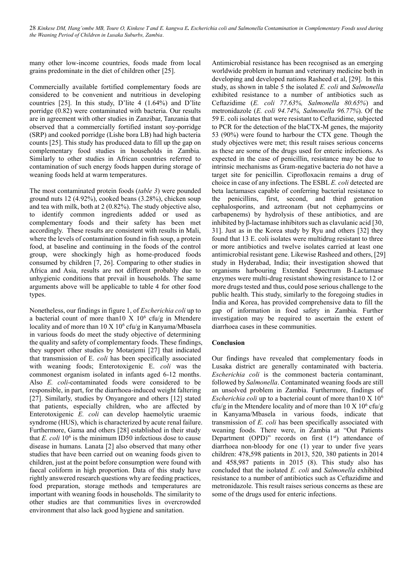many other low-income countries, foods made from local grains predominate in the diet of children other [25].

Commercially available fortified complementary foods are considered to be convenient and nutritious in developing countries [25]. In this study, D'lite 4 (1.64%) and D'lite porridge (0.82) were contaminated with bacteria. Our results are in agreement with other studies in Zanzibar, Tanzania that observed that a commercially fortified instant soy-porridge (SRP) and cooked porridge (Lishe bora LB) had high bacteria counts [25]. This study has produced data to fill up the gap on complementary food studies in households in Zambia. Similarly to other studies in African countries referred to contamination of such energy foods happen during storage of weaning foods held at warm temperatures.

The most contaminated protein foods (*table 3*) were pounded ground nuts 12 (4.92%), cooked beans (3.28%), chicken soup and tea with milk, both at 2 (0.82%). The study objective also, to identify common ingredients added or used as complementary foods and their safety has been met accordingly. These results are consistent with results in Mali, where the levels of contamination found in fish soup, a protein food, at baseline and continuing in the foods of the control group, were shockingly high as home-produced foods consumed by children [7, 26]. Comparing to other studies in Africa and Asia, results are not different probably due to unhygienic conditions that prevail in households. The same arguments above will be applicable to table 4 for other food types.

Nonetheless, our findings in figure 1, of *Escherichia coli* up to a bacterial count of more than 10 X  $10^6$  cfu/g in Mtendere locality and of more than  $10 \text{ X } 10^6$  cfu/g in Kanyama/Mbasela in various foods do meet the study objective of determining the quality and safety of complementary foods. These findings, they support other studies by Motarjemi [27] that indicated that transmission of E. *coli* has been specifically associated with weaning foods; Enterotoxigenic E. *coli* was the commonest organism isolated in infants aged 6-12 months. Also *E. coli*-contaminated foods were considered to be responsible, in part, for the diarrhoea-induced weight faltering [27]. Similarly, studies by Onyangore and others [12] stated that patients, especially children, who are affected by Enterotoxigenic *E. coli* can develop haemolytic uraemic syndrome (HUS), which is characterized by acute renal failure. Furthermore, Gama and others [28] established in their study that  $E$ . *coli*  $10<sup>6</sup>$  is the minimum ID50 infectious dose to cause disease in humans. Lanata [2] also observed that many other studies that have been carried out on weaning foods given to children, just at the point before consumption were found with faecal coliform in high proportion. Data of this study have rightly answered research questions why are feeding practices, food preparation, storage methods and temperatures are important with weaning foods in households. The similarity to other studies are that communities lives in overcrowded environment that also lack good hygiene and sanitation.

Antimicrobial resistance has been recognised as an emerging worldwide problem in human and veterinary medicine both in developing and developed nations Rasheed et al, [29]. In this study, as shown in table 5 the isolated *E. coli* and *Salmonella* exhibited resistance to a number of antibiotics such as Ceftazidime (*E. coli 77.63%, Salmonella 80.65%*) and metronidazole (*E. coli 94.74%, Salmonella 96.77%*). Of the 59 E. coli isolates that were resistant to Ceftazidime, subjected to PCR for the detection of the blaCTX-M genes, the majority 53 (90%) were found to harbour the CTX gene. Though the study objectives were met; this result raises serious concerns as these are some of the drugs used for enteric infections. As expected in the case of penicillin, resistance may be due to intrinsic mechanisms as Gram-negative bacteria do not have a target site for penicillin. Ciprofloxacin remains a drug of choice in case of any infections. The ESBL *E. coli* detected are beta lactamases capable of conferring bacterial resistance to the penicillins, first, second, and third generation cephalosporins, and aztreonam (but not cephamycins or carbapenems) by hydrolysis of these antibiotics, and are inhibited by β-lactamase inhibitors such as clavulanic acid [30, 31]. Just as in the Korea study by Ryu and others [32] they found that 13 E. coli isolates were multidrug resistant to three or more antibiotics and twelve isolates carried at least one antimicrobial resistant gene. Likewise Rasheed and others, [29] study in Hyderabad, India; their investigation showed that organisms harbouring Extended Spectrum B-Lactamase enzymes were multi-drug resistant showing resistance to 12 or more drugs tested and thus, could pose serious challenge to the public health. This study, similarly to the foregoing studies in India and Korea, has provided comprehensive data to fill the gap of information in food safety in Zambia. Further investigation may be required to ascertain the extent of diarrhoea cases in these communities.

#### **Conclusion**

Our findings have revealed that complementary foods in Lusaka district are generally contaminated with bacteria. *Escherichia coli* is the commonest bacteria contaminant, followed by *Salmonella*. Contaminated weaning foods are still an unsolved problem in Zambia. Furthermore, findings of *Escherichia coli* up to a bacterial count of more than10 X 10<sup>6</sup> cfu/g in the Mtendere locality and of more than  $10 \text{ X } 10^6 \text{ cftu/g}$ in Kanyama/Mbasela in various foods, indicate that transmission of *E. coli* has been specifically associated with weaning foods. There were, in Zambia at "Out Patients Department (OPD)" records on first  $(1<sup>st</sup>)$  attendance of diarrhoea non-bloody for one (1) year to under five years children: 478,598 patients in 2013, 520, 380 patients in 2014 and 458,987 patients in 2015 (8). This study also has concluded that the isolated *E. coli* and *Salmonella* exhibited resistance to a number of antibiotics such as Ceftazidime and metronidazole. This result raises serious concerns as these are some of the drugs used for enteric infections.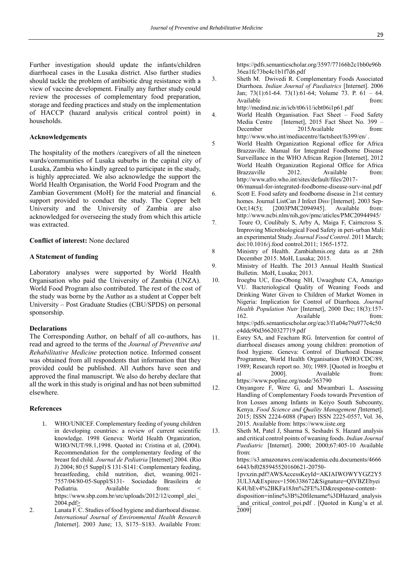Further investigation should update the infants/children diarrhoeal cases in the Lusaka district. Also further studies should tackle the problem of antibiotic drug resistance with a view of vaccine development. Finally any further study could review the processes of complementary food preparation, storage and feeding practices and study on the implementation of HACCP (hazard analysis critical control point) in households.

#### **Acknowledgements**

The hospitality of the mothers /caregivers of all the nineteen wards/communities of Lusaka suburbs in the capital city of Lusaka, Zambia who kindly agreed to participate in the study, is highly appreciated. We also acknowledge the support the World Health Organisation, the World Food Program and the Zambian Government (MoH) for the material and financial support provided to conduct the study. The Copper belt University and the University of Zambia are also acknowledged for overseeing the study from which this article was extracted.

**Conflict of interest:** None declared

#### **A Statement of funding**

Laboratory analyses were supported by World Health Organisation who paid the University of Zambia (UNZA). World Food Program also contributed. The rest of the cost of the study was borne by the Author as a student at Copper belt University – Post Graduate Studies (CBU/SPDS) on personal sponsorship.

#### **Declarations**

The Corresponding Author, on behalf of all co-authors, has read and agreed to the terms of the *Journal of Preventive and Rehabilitative Medicine* protection notice. Informed consent was obtained from all respondents that information that they provided could be published. All Authors have seen and approved the final manuscript. We also do hereby declare that all the work in this study is original and has not been submitted elsewhere.

#### **References**

- 1. WHO/UNICEF. Complementary feeding of young children in developing countries: a review of current scientific knowledge. 1998 Geneva: World Health Organization, WHO/NUT/98.1,1998. Quoted in**:** Cristina et al, (2004). Recommendation for the complementary feeding of the breast fed child. *Journal de Pediatria* [Internet] 2004. (Rio J) 2004; 80 (5 Suppl) S 131-S141: Complementary feeding, breastfeeding, child nutrition, diet, weaning. 0021- 7557/04/80-05-Suppl/S131- Sociedade Brasileira de Pediatria. Available from: [https://www.sbp.com.br/src/uploads/2012/12/compl\\_alei\\_](https://www.sbp.com.br/src/uploads/2012/12/compl_alei_2004.pdf) [2004.pdf>](https://www.sbp.com.br/src/uploads/2012/12/compl_alei_2004.pdf)
- 2. Lanata F. C. Studies of food hygiene and diarrhoeal disease. *International Journal of Environmental Health Research [*Internet]. 2003 June; 13, S175–S183. Available From:

[https://pdfs.semanticscholar.org/3597/77166b2c1bb0e96b](https://pdfs.semanticscholar.org/3597/77166b2c1bb0e96b36ea1fc73be4c1b1f7d6.pdf) [36ea1fc73be4c1b1f7d6.pdf](https://pdfs.semanticscholar.org/3597/77166b2c1bb0e96b36ea1fc73be4c1b1f7d6.pdf)

- 3. Sheth M. Dwivedi R. Complementary Foods Associated Diarrhoea. *Indian Journal of Paediatrics* [Internet]. 2006 Jan; 73(1):61-64. 73(1):61-64; Volume 73. P. 61 – 64. Available from: <http://medind.nic.in/icb/t06/i1/icbt06i1p61.pdf>
- 4. World Health Organisation. Fact Sheet Food Safety Media Centre [Internet], 2015 Fact Sheet No. 399 – December 2015Available from: <http://www.who.int/mediacentre/factsheet/fs399/en/> .
- 5 World Health Organization Regional office for Africa Brazzaville. Manual for Integrated Foodborne Disease Surveillance in the WHO African Region [Internet], 2012 World Health Organization Regional Office for Africa Brazzaville 2012. Available from: [http://www.afro.who.int/sites/default/files/2017-](http://www.afro.who.int/sites/default/files/2017-06/manual-for-integrated-foodborne-disease-surv-inal.pdf)
- [06/manual-for-integrated-foodborne-disease-surv-inal.pdf](http://www.afro.who.int/sites/default/files/2017-06/manual-for-integrated-foodborne-disease-surv-inal.pdf) 6. Scott E. Food safety and foodborne disease in 21st century homes[. Journal ListCan J Infect Dis](http://www.ncbi.nlm.nih.gov/pmc/journals/)*v* [\[Internet\]. 2003](http://www.ncbi.nlm.nih.gov/pmc/issues/154607/) Sep-[Oct;14\(5\); \[2003P](http://www.ncbi.nlm.nih.gov/pmc/issues/154607/)MC2094945]. Available from: <http://www.ncbi.nlm/nih,gov/pmc/aticles/PMC20944945/>
- 7. Toure O, Coulibaly S, Arby A, Maiga F, Cairncross S. Improving Microbiological Food Safety in peri-urban Mali: an experimental Study. *Journal Food Control*. 2011 March; doi:10.1016/j.food control.2011; 1565-1572.
- 8 Ministry of Health. Zambiahmis.org data as at 28th December 2015. MoH, Lusaka; 2015.
- 9. Ministry of Health. The 2013 Annual Health Stastical Bulletin. MoH, Lusaka; 2013.
- 10. Iroegbu UC, Ene-Obong NH, Uwaegbute CA, Amazigo VU. Bacteriological Quality of Weaning Foods and Drinking Water Given to Children of Market Women in Nigeria: Implication for Control of Diarrhoea. *Journal Health Population Nutr* [Internet], 2000 Dec; 18(3):157- 162. Available from: [https://pdfs.semanticscholar.org/eac3/f1a04e79a977c4c50](https://pdfs.semanticscholar.org/eac3/f1a04e79a977c4c50e4ddc90d36620327719.pdf) [e4ddc90d36620327719.pdf](https://pdfs.semanticscholar.org/eac3/f1a04e79a977c4c50e4ddc90d36620327719.pdf)
- 11. Esrey SA, and Feacham RG. Intervention for control of diarrhoeal diseases among young children: promotion of food hygiene. Geneva: Control of Diarhoeal Disease Programme, World Health Organisation (WHO/CDC/89, 1989; Research report no. 30); 1989. [Quoted in Iroegbu et al 2000]. Available from: <https://www.popline.org/node/363790>
- 12. Onyangore F, Were G, and Mwamburi L. Assessing Handling of Complementary Foods towards Prevention of Iron Losses among Infants in Keiyo South Subcounty, Kenya. *Food Science and Quality Management [*Internet]. 2015; ISSN 2224-6088 (Paper) ISSN 2225-0557, Vol. 36, 2015. Available from: [https://www.iiste.org](https://www.iiste.org/)
- 13. Sheth M, Patel J, Sharma S, Seshadri S. Hazard analysis and critical control points of weaning foods. *Indian Journal Paediatric* [Internet]. 2000; 2000;67:405-10 Available from:

[https://s3.amazonaws.com/academia.edu.documents/4666](https://s3.amazonaws.com/academia.edu.documents/46666443/bf0285945520160621-20750-1pvxzin.pdf?AWSAccessKeyId=AKIAIWOWYYGZ2Y53UL3A&Expires=1506338672&Signature=QlVBZEbyeiK4UhEv4%2BKFa18Jm%2FE%3D&response-content-disposition=inline%3B%20filename%3DHazard_analysis_and_critical_control_poi.pdf) [6443/bf0285945520160621-20750-](https://s3.amazonaws.com/academia.edu.documents/46666443/bf0285945520160621-20750-1pvxzin.pdf?AWSAccessKeyId=AKIAIWOWYYGZ2Y53UL3A&Expires=1506338672&Signature=QlVBZEbyeiK4UhEv4%2BKFa18Jm%2FE%3D&response-content-disposition=inline%3B%20filename%3DHazard_analysis_and_critical_control_poi.pdf)

[1pvxzin.pdf?AWSAccessKeyId=AKIAIWOWYYGZ2Y5](https://s3.amazonaws.com/academia.edu.documents/46666443/bf0285945520160621-20750-1pvxzin.pdf?AWSAccessKeyId=AKIAIWOWYYGZ2Y53UL3A&Expires=1506338672&Signature=QlVBZEbyeiK4UhEv4%2BKFa18Jm%2FE%3D&response-content-disposition=inline%3B%20filename%3DHazard_analysis_and_critical_control_poi.pdf) [3UL3A&Expires=1506338672&Signature=QlVBZEbyei](https://s3.amazonaws.com/academia.edu.documents/46666443/bf0285945520160621-20750-1pvxzin.pdf?AWSAccessKeyId=AKIAIWOWYYGZ2Y53UL3A&Expires=1506338672&Signature=QlVBZEbyeiK4UhEv4%2BKFa18Jm%2FE%3D&response-content-disposition=inline%3B%20filename%3DHazard_analysis_and_critical_control_poi.pdf) [K4UhEv4%2BKFa18Jm%2FE%3D&response-content](https://s3.amazonaws.com/academia.edu.documents/46666443/bf0285945520160621-20750-1pvxzin.pdf?AWSAccessKeyId=AKIAIWOWYYGZ2Y53UL3A&Expires=1506338672&Signature=QlVBZEbyeiK4UhEv4%2BKFa18Jm%2FE%3D&response-content-disposition=inline%3B%20filename%3DHazard_analysis_and_critical_control_poi.pdf)[disposition=inline%3B%20filename%3DHazard\\_analysis](https://s3.amazonaws.com/academia.edu.documents/46666443/bf0285945520160621-20750-1pvxzin.pdf?AWSAccessKeyId=AKIAIWOWYYGZ2Y53UL3A&Expires=1506338672&Signature=QlVBZEbyeiK4UhEv4%2BKFa18Jm%2FE%3D&response-content-disposition=inline%3B%20filename%3DHazard_analysis_and_critical_control_poi.pdf) [\\_and\\_critical\\_control\\_poi.pdf](https://s3.amazonaws.com/academia.edu.documents/46666443/bf0285945520160621-20750-1pvxzin.pdf?AWSAccessKeyId=AKIAIWOWYYGZ2Y53UL3A&Expires=1506338672&Signature=QlVBZEbyeiK4UhEv4%2BKFa18Jm%2FE%3D&response-content-disposition=inline%3B%20filename%3DHazard_analysis_and_critical_control_poi.pdf) . [Quoted in Kung'u et al. 2009]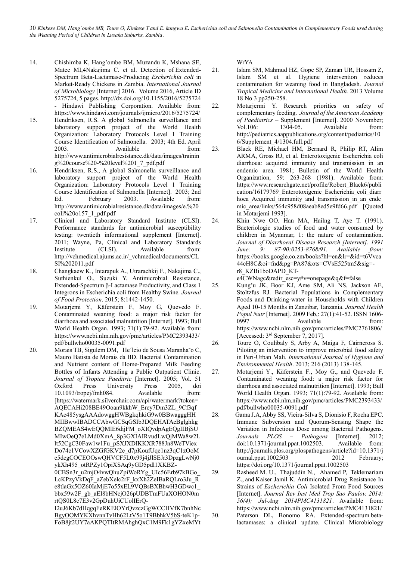- 14. Chishimba K, Hang'ombe BM, Muzandu K, Mshana SE, Matee MI,4Nakajima C. et al. Detection of Extended-Spectrum Beta-Lactamase-Producing *Escherichia coli* in Market-Ready Chickens in Zambia. *International Journal of Microbiology* [Internet] 2016. Volume 2016, Article ID 5275724, 5 pages[. http://dx.doi.org/10.1155/2016/5275724](http://dx.doi.org/10.1155/2016/5275724) - Hindawi Publishing Corporation. Available from: <https://www.hindawi.com/journals/ijmicro/2016/5275724/>
- 15. Hendriksen, R.S. A global Salmonella surveillance and laboratory support project of the World Health Organization: Laboratory Protocols Level 1 Training Course Identification of Salmonella. 2003; 4th Ed. April 2003. Available from: [http://www.antimicrobialresistance.dk/data/images/trainin](http://www.antimicrobialresistance.dk/data/images/training%20course%20-%20level%201_7_pdf.pdf) [g%20course%20-%20level%201\\_7\\_pdf.pdf](http://www.antimicrobialresistance.dk/data/images/training%20course%20-%20level%201_7_pdf.pdf)
- 16. Hendriksen, R.S., A global Salmonella surveillance and laboratory support project of the World Health Organization: Laboratory Protocols Level 1 Training Course Identification of Salmonella [Internet]. 2003; 2nd Ed. February 2003. Available from: [http://www.antimicrobialresistance.dk/data/images/e.%20](http://www.antimicrobialresistance.dk/data/images/e.%20coli%20o157_1_pdf.pdf) [coli%20o157\\_1\\_pdf.pdf](http://www.antimicrobialresistance.dk/data/images/e.%20coli%20o157_1_pdf.pdf)
- 17. Clinical and Laboratory Standard Institute (CLSI). Performance standards for antimicrobial susceptibility testing: twentieth informational supplement [Internet]. 2011; Wayne, Pa, Clinical and Laboratory Standards Institute (CLSI). Available from: [http://vchmedical.ajums.ac.ir/\\_vchmedical/documents/CL](http://vchmedical.ajums.ac.ir/_vchmedical/documents/CLSI%202011.pdf) [SI%202011.pdf](http://vchmedical.ajums.ac.ir/_vchmedical/documents/CLSI%202011.pdf)
- 18. Changkaew K., Intarapuk A., Utrarachkij F., Nakajima C., Suthienkul O., Suzuki Y. Antimicrobial Resistance, Extended-Spectrum β-Lactamase Productivity, and Class 1 Integrons in Escherichia coli from Healthy Swine. *Journal of Food Protection*. 2015; 8:1442-1450.
- 19. [Motarjemi Y,](http://www.ncbi.nlm.nih.gov/pubmed/?term=Motarjemi%20Y%5BAuthor%5D&cauthor=true&cauthor_uid=8440042) [Käferstein F,](http://www.ncbi.nlm.nih.gov/pubmed/?term=K%C3%A4ferstein%20F%5BAuthor%5D&cauthor=true&cauthor_uid=8440042) [Moy G,](http://www.ncbi.nlm.nih.gov/pubmed/?term=Moy%20G%5BAuthor%5D&cauthor=true&cauthor_uid=8440042) [Quevedo F.](http://www.ncbi.nlm.nih.gov/pubmed/?term=Quevedo%20F%5BAuthor%5D&cauthor=true&cauthor_uid=8440042)  Contaminated weaning food: a major risk factor for diarrhoea and associated malnutrition [Internet]. 1993[; Bull](http://www.ncbi.nlm.nih.gov/pubmed/8440042)  [World Health Organ.](http://www.ncbi.nlm.nih.gov/pubmed/8440042) 1993; 71(1):79-92. Available from: [https://www.ncbi.nlm.nih.gov/pmc/articles/PMC2393433/](https://www.ncbi.nlm.nih.gov/pmc/articles/PMC2393433/pdf/bullwho00035-0091.pdf) [pdf/bullwho00035-0091.pdf](https://www.ncbi.nlm.nih.gov/pmc/articles/PMC2393433/pdf/bullwho00035-0091.pdf)
- 20. Morais TB, Sigulem DM, He´lcio de Sousa Maranha˜o C, Mauro Batista de Morais da BD. Bacterial Contamination and Nutrient content of Home-Prepared Milk Feeding Bottles of Infants Attending a Public Outpatient Clinic. *Journal of Tropica Paeditric* [Internet]. 2005; Vol. 51 Oxford Press University Press 2005, doi 10.1093/tropej/fmh084. Available from: [\[https://watermark.silverchair.com/api/watermark?token=](https://watermark.silverchair.com/api/watermark?token=AQECAHi208BE49Ooan9kkhW_Ercy7Dm3ZL_9Cf3qfKAc485ysgAAAdowggHWBgkqhkiG9w0BBwagggHHMIIBwwIBADCCAbwGCSqGSIb3DQEHATAeBglghkgBZQMEAS4wEQQMlE6dijFM_oXIQvdpAgEQgIIBjSUMIwOeQ7eLMd0XmA_8p3GXIAIRvudLwQjMWa8w2Llt52CgC30Faw1w1Fu_pSXJXDIKKXR788Jn8WeTViexDo74c1VCowXZGfGKV2e_d7pKoufUqe1nz3qC1zOoMe5dcgCOCEOOswQHVCF5L0x99j4jJlSEJr3DpzgLwNj0ykXh495_otRPZy1OpiXSAq9yGD5pdl1XKBZ-0CBSn3r_u2mjO4vwQhuZpiWoRYg_UIc56Erb97kBGo_LcKPzyVkDqF_aZebXelc2rF_kxXh2ZeIBaRQLro3Ju_Re8tlaGx5OZ60IaMjE7o55xEL9VQBsBXBhwH3GDwc1_bbx59w2F_gb_aEI8bHNcjO26pUDBTmFUaXOHON0mrtQS0L8c7E3v2GpDuhUiCUolIErQ-I2uJ6Kb7dHqgqFeRKElOYrQvzczGgWCCHVfK7bnhNcBgyOOMYKXhvnnTvHh62LtV5o1T9BbhkV5bS-teK1p-FoB8jt2UY7aAKPQTItRMAhghQxC1M9Fk1gYZxeMYtWrYA) [AQECAHi208BE49Ooan9kkhW\\_Ercy7Dm3ZL\\_9Cf3qf](https://watermark.silverchair.com/api/watermark?token=AQECAHi208BE49Ooan9kkhW_Ercy7Dm3ZL_9Cf3qfKAc485ysgAAAdowggHWBgkqhkiG9w0BBwagggHHMIIBwwIBADCCAbwGCSqGSIb3DQEHATAeBglghkgBZQMEAS4wEQQMlE6dijFM_oXIQvdpAgEQgIIBjSUMIwOeQ7eLMd0XmA_8p3GXIAIRvudLwQjMWa8w2Llt52CgC30Faw1w1Fu_pSXJXDIKKXR788Jn8WeTViexDo74c1VCowXZGfGKV2e_d7pKoufUqe1nz3qC1zOoMe5dcgCOCEOOswQHVCF5L0x99j4jJlSEJr3DpzgLwNj0ykXh495_otRPZy1OpiXSAq9yGD5pdl1XKBZ-0CBSn3r_u2mjO4vwQhuZpiWoRYg_UIc56Erb97kBGo_LcKPzyVkDqF_aZebXelc2rF_kxXh2ZeIBaRQLro3Ju_Re8tlaGx5OZ60IaMjE7o55xEL9VQBsBXBhwH3GDwc1_bbx59w2F_gb_aEI8bHNcjO26pUDBTmFUaXOHON0mrtQS0L8c7E3v2GpDuhUiCUolIErQ-I2uJ6Kb7dHqgqFeRKElOYrQvzczGgWCCHVfK7bnhNcBgyOOMYKXhvnnTvHh62LtV5o1T9BbhkV5bS-teK1p-FoB8jt2UY7aAKPQTItRMAhghQxC1M9Fk1gYZxeMYtWrYA) [KAc485ysgAAAdowggHWBgkqhkiG9w0BBwagggHH](https://watermark.silverchair.com/api/watermark?token=AQECAHi208BE49Ooan9kkhW_Ercy7Dm3ZL_9Cf3qfKAc485ysgAAAdowggHWBgkqhkiG9w0BBwagggHHMIIBwwIBADCCAbwGCSqGSIb3DQEHATAeBglghkgBZQMEAS4wEQQMlE6dijFM_oXIQvdpAgEQgIIBjSUMIwOeQ7eLMd0XmA_8p3GXIAIRvudLwQjMWa8w2Llt52CgC30Faw1w1Fu_pSXJXDIKKXR788Jn8WeTViexDo74c1VCowXZGfGKV2e_d7pKoufUqe1nz3qC1zOoMe5dcgCOCEOOswQHVCF5L0x99j4jJlSEJr3DpzgLwNj0ykXh495_otRPZy1OpiXSAq9yGD5pdl1XKBZ-0CBSn3r_u2mjO4vwQhuZpiWoRYg_UIc56Erb97kBGo_LcKPzyVkDqF_aZebXelc2rF_kxXh2ZeIBaRQLro3Ju_Re8tlaGx5OZ60IaMjE7o55xEL9VQBsBXBhwH3GDwc1_bbx59w2F_gb_aEI8bHNcjO26pUDBTmFUaXOHON0mrtQS0L8c7E3v2GpDuhUiCUolIErQ-I2uJ6Kb7dHqgqFeRKElOYrQvzczGgWCCHVfK7bnhNcBgyOOMYKXhvnnTvHh62LtV5o1T9BbhkV5bS-teK1p-FoB8jt2UY7aAKPQTItRMAhghQxC1M9Fk1gYZxeMYtWrYA) [MIIBwwIBADCCAbwGCSqGSIb3DQEHATAeBglghkg](https://watermark.silverchair.com/api/watermark?token=AQECAHi208BE49Ooan9kkhW_Ercy7Dm3ZL_9Cf3qfKAc485ysgAAAdowggHWBgkqhkiG9w0BBwagggHHMIIBwwIBADCCAbwGCSqGSIb3DQEHATAeBglghkgBZQMEAS4wEQQMlE6dijFM_oXIQvdpAgEQgIIBjSUMIwOeQ7eLMd0XmA_8p3GXIAIRvudLwQjMWa8w2Llt52CgC30Faw1w1Fu_pSXJXDIKKXR788Jn8WeTViexDo74c1VCowXZGfGKV2e_d7pKoufUqe1nz3qC1zOoMe5dcgCOCEOOswQHVCF5L0x99j4jJlSEJr3DpzgLwNj0ykXh495_otRPZy1OpiXSAq9yGD5pdl1XKBZ-0CBSn3r_u2mjO4vwQhuZpiWoRYg_UIc56Erb97kBGo_LcKPzyVkDqF_aZebXelc2rF_kxXh2ZeIBaRQLro3Ju_Re8tlaGx5OZ60IaMjE7o55xEL9VQBsBXBhwH3GDwc1_bbx59w2F_gb_aEI8bHNcjO26pUDBTmFUaXOHON0mrtQS0L8c7E3v2GpDuhUiCUolIErQ-I2uJ6Kb7dHqgqFeRKElOYrQvzczGgWCCHVfK7bnhNcBgyOOMYKXhvnnTvHh62LtV5o1T9BbhkV5bS-teK1p-FoB8jt2UY7aAKPQTItRMAhghQxC1M9Fk1gYZxeMYtWrYA) [BZQMEAS4wEQQMlE6dijFM\\_oXIQvdpAgEQgIIBjSU](https://watermark.silverchair.com/api/watermark?token=AQECAHi208BE49Ooan9kkhW_Ercy7Dm3ZL_9Cf3qfKAc485ysgAAAdowggHWBgkqhkiG9w0BBwagggHHMIIBwwIBADCCAbwGCSqGSIb3DQEHATAeBglghkgBZQMEAS4wEQQMlE6dijFM_oXIQvdpAgEQgIIBjSUMIwOeQ7eLMd0XmA_8p3GXIAIRvudLwQjMWa8w2Llt52CgC30Faw1w1Fu_pSXJXDIKKXR788Jn8WeTViexDo74c1VCowXZGfGKV2e_d7pKoufUqe1nz3qC1zOoMe5dcgCOCEOOswQHVCF5L0x99j4jJlSEJr3DpzgLwNj0ykXh495_otRPZy1OpiXSAq9yGD5pdl1XKBZ-0CBSn3r_u2mjO4vwQhuZpiWoRYg_UIc56Erb97kBGo_LcKPzyVkDqF_aZebXelc2rF_kxXh2ZeIBaRQLro3Ju_Re8tlaGx5OZ60IaMjE7o55xEL9VQBsBXBhwH3GDwc1_bbx59w2F_gb_aEI8bHNcjO26pUDBTmFUaXOHON0mrtQS0L8c7E3v2GpDuhUiCUolIErQ-I2uJ6Kb7dHqgqFeRKElOYrQvzczGgWCCHVfK7bnhNcBgyOOMYKXhvnnTvHh62LtV5o1T9BbhkV5bS-teK1p-FoB8jt2UY7aAKPQTItRMAhghQxC1M9Fk1gYZxeMYtWrYA) [MIwOeQ7eLMd0XmA\\_8p3GXIAIRvudLwQjMWa8w2L](https://watermark.silverchair.com/api/watermark?token=AQECAHi208BE49Ooan9kkhW_Ercy7Dm3ZL_9Cf3qfKAc485ysgAAAdowggHWBgkqhkiG9w0BBwagggHHMIIBwwIBADCCAbwGCSqGSIb3DQEHATAeBglghkgBZQMEAS4wEQQMlE6dijFM_oXIQvdpAgEQgIIBjSUMIwOeQ7eLMd0XmA_8p3GXIAIRvudLwQjMWa8w2Llt52CgC30Faw1w1Fu_pSXJXDIKKXR788Jn8WeTViexDo74c1VCowXZGfGKV2e_d7pKoufUqe1nz3qC1zOoMe5dcgCOCEOOswQHVCF5L0x99j4jJlSEJr3DpzgLwNj0ykXh495_otRPZy1OpiXSAq9yGD5pdl1XKBZ-0CBSn3r_u2mjO4vwQhuZpiWoRYg_UIc56Erb97kBGo_LcKPzyVkDqF_aZebXelc2rF_kxXh2ZeIBaRQLro3Ju_Re8tlaGx5OZ60IaMjE7o55xEL9VQBsBXBhwH3GDwc1_bbx59w2F_gb_aEI8bHNcjO26pUDBTmFUaXOHON0mrtQS0L8c7E3v2GpDuhUiCUolIErQ-I2uJ6Kb7dHqgqFeRKElOYrQvzczGgWCCHVfK7bnhNcBgyOOMYKXhvnnTvHh62LtV5o1T9BbhkV5bS-teK1p-FoB8jt2UY7aAKPQTItRMAhghQxC1M9Fk1gYZxeMYtWrYA) [lt52CgC30Faw1w1Fu\\_pSXJXDIKKXR788Jn8WeTViex](https://watermark.silverchair.com/api/watermark?token=AQECAHi208BE49Ooan9kkhW_Ercy7Dm3ZL_9Cf3qfKAc485ysgAAAdowggHWBgkqhkiG9w0BBwagggHHMIIBwwIBADCCAbwGCSqGSIb3DQEHATAeBglghkgBZQMEAS4wEQQMlE6dijFM_oXIQvdpAgEQgIIBjSUMIwOeQ7eLMd0XmA_8p3GXIAIRvudLwQjMWa8w2Llt52CgC30Faw1w1Fu_pSXJXDIKKXR788Jn8WeTViexDo74c1VCowXZGfGKV2e_d7pKoufUqe1nz3qC1zOoMe5dcgCOCEOOswQHVCF5L0x99j4jJlSEJr3DpzgLwNj0ykXh495_otRPZy1OpiXSAq9yGD5pdl1XKBZ-0CBSn3r_u2mjO4vwQhuZpiWoRYg_UIc56Erb97kBGo_LcKPzyVkDqF_aZebXelc2rF_kxXh2ZeIBaRQLro3Ju_Re8tlaGx5OZ60IaMjE7o55xEL9VQBsBXBhwH3GDwc1_bbx59w2F_gb_aEI8bHNcjO26pUDBTmFUaXOHON0mrtQS0L8c7E3v2GpDuhUiCUolIErQ-I2uJ6Kb7dHqgqFeRKElOYrQvzczGgWCCHVfK7bnhNcBgyOOMYKXhvnnTvHh62LtV5o1T9BbhkV5bS-teK1p-FoB8jt2UY7aAKPQTItRMAhghQxC1M9Fk1gYZxeMYtWrYA) [Do74c1VCowXZGfGKV2e\\_d7pKoufUqe1nz3qC1zOoM](https://watermark.silverchair.com/api/watermark?token=AQECAHi208BE49Ooan9kkhW_Ercy7Dm3ZL_9Cf3qfKAc485ysgAAAdowggHWBgkqhkiG9w0BBwagggHHMIIBwwIBADCCAbwGCSqGSIb3DQEHATAeBglghkgBZQMEAS4wEQQMlE6dijFM_oXIQvdpAgEQgIIBjSUMIwOeQ7eLMd0XmA_8p3GXIAIRvudLwQjMWa8w2Llt52CgC30Faw1w1Fu_pSXJXDIKKXR788Jn8WeTViexDo74c1VCowXZGfGKV2e_d7pKoufUqe1nz3qC1zOoMe5dcgCOCEOOswQHVCF5L0x99j4jJlSEJr3DpzgLwNj0ykXh495_otRPZy1OpiXSAq9yGD5pdl1XKBZ-0CBSn3r_u2mjO4vwQhuZpiWoRYg_UIc56Erb97kBGo_LcKPzyVkDqF_aZebXelc2rF_kxXh2ZeIBaRQLro3Ju_Re8tlaGx5OZ60IaMjE7o55xEL9VQBsBXBhwH3GDwc1_bbx59w2F_gb_aEI8bHNcjO26pUDBTmFUaXOHON0mrtQS0L8c7E3v2GpDuhUiCUolIErQ-I2uJ6Kb7dHqgqFeRKElOYrQvzczGgWCCHVfK7bnhNcBgyOOMYKXhvnnTvHh62LtV5o1T9BbhkV5bS-teK1p-FoB8jt2UY7aAKPQTItRMAhghQxC1M9Fk1gYZxeMYtWrYA) [e5dcgCOCEOOswQHVCF5L0x99j4jJlSEJr3DpzgLwNj0](https://watermark.silverchair.com/api/watermark?token=AQECAHi208BE49Ooan9kkhW_Ercy7Dm3ZL_9Cf3qfKAc485ysgAAAdowggHWBgkqhkiG9w0BBwagggHHMIIBwwIBADCCAbwGCSqGSIb3DQEHATAeBglghkgBZQMEAS4wEQQMlE6dijFM_oXIQvdpAgEQgIIBjSUMIwOeQ7eLMd0XmA_8p3GXIAIRvudLwQjMWa8w2Llt52CgC30Faw1w1Fu_pSXJXDIKKXR788Jn8WeTViexDo74c1VCowXZGfGKV2e_d7pKoufUqe1nz3qC1zOoMe5dcgCOCEOOswQHVCF5L0x99j4jJlSEJr3DpzgLwNj0ykXh495_otRPZy1OpiXSAq9yGD5pdl1XKBZ-0CBSn3r_u2mjO4vwQhuZpiWoRYg_UIc56Erb97kBGo_LcKPzyVkDqF_aZebXelc2rF_kxXh2ZeIBaRQLro3Ju_Re8tlaGx5OZ60IaMjE7o55xEL9VQBsBXBhwH3GDwc1_bbx59w2F_gb_aEI8bHNcjO26pUDBTmFUaXOHON0mrtQS0L8c7E3v2GpDuhUiCUolIErQ-I2uJ6Kb7dHqgqFeRKElOYrQvzczGgWCCHVfK7bnhNcBgyOOMYKXhvnnTvHh62LtV5o1T9BbhkV5bS-teK1p-FoB8jt2UY7aAKPQTItRMAhghQxC1M9Fk1gYZxeMYtWrYA) [ykXh495\\_otRPZy1OpiXSAq9yGD5pdl1XKBZ-](https://watermark.silverchair.com/api/watermark?token=AQECAHi208BE49Ooan9kkhW_Ercy7Dm3ZL_9Cf3qfKAc485ysgAAAdowggHWBgkqhkiG9w0BBwagggHHMIIBwwIBADCCAbwGCSqGSIb3DQEHATAeBglghkgBZQMEAS4wEQQMlE6dijFM_oXIQvdpAgEQgIIBjSUMIwOeQ7eLMd0XmA_8p3GXIAIRvudLwQjMWa8w2Llt52CgC30Faw1w1Fu_pSXJXDIKKXR788Jn8WeTViexDo74c1VCowXZGfGKV2e_d7pKoufUqe1nz3qC1zOoMe5dcgCOCEOOswQHVCF5L0x99j4jJlSEJr3DpzgLwNj0ykXh495_otRPZy1OpiXSAq9yGD5pdl1XKBZ-0CBSn3r_u2mjO4vwQhuZpiWoRYg_UIc56Erb97kBGo_LcKPzyVkDqF_aZebXelc2rF_kxXh2ZeIBaRQLro3Ju_Re8tlaGx5OZ60IaMjE7o55xEL9VQBsBXBhwH3GDwc1_bbx59w2F_gb_aEI8bHNcjO26pUDBTmFUaXOHON0mrtQS0L8c7E3v2GpDuhUiCUolIErQ-I2uJ6Kb7dHqgqFeRKElOYrQvzczGgWCCHVfK7bnhNcBgyOOMYKXhvnnTvHh62LtV5o1T9BbhkV5bS-teK1p-FoB8jt2UY7aAKPQTItRMAhghQxC1M9Fk1gYZxeMYtWrYA)[0CBSn3r\\_u2mjO4vwQhuZpiWoRYg\\_UIc56Erb97kBGo\\_](https://watermark.silverchair.com/api/watermark?token=AQECAHi208BE49Ooan9kkhW_Ercy7Dm3ZL_9Cf3qfKAc485ysgAAAdowggHWBgkqhkiG9w0BBwagggHHMIIBwwIBADCCAbwGCSqGSIb3DQEHATAeBglghkgBZQMEAS4wEQQMlE6dijFM_oXIQvdpAgEQgIIBjSUMIwOeQ7eLMd0XmA_8p3GXIAIRvudLwQjMWa8w2Llt52CgC30Faw1w1Fu_pSXJXDIKKXR788Jn8WeTViexDo74c1VCowXZGfGKV2e_d7pKoufUqe1nz3qC1zOoMe5dcgCOCEOOswQHVCF5L0x99j4jJlSEJr3DpzgLwNj0ykXh495_otRPZy1OpiXSAq9yGD5pdl1XKBZ-0CBSn3r_u2mjO4vwQhuZpiWoRYg_UIc56Erb97kBGo_LcKPzyVkDqF_aZebXelc2rF_kxXh2ZeIBaRQLro3Ju_Re8tlaGx5OZ60IaMjE7o55xEL9VQBsBXBhwH3GDwc1_bbx59w2F_gb_aEI8bHNcjO26pUDBTmFUaXOHON0mrtQS0L8c7E3v2GpDuhUiCUolIErQ-I2uJ6Kb7dHqgqFeRKElOYrQvzczGgWCCHVfK7bnhNcBgyOOMYKXhvnnTvHh62LtV5o1T9BbhkV5bS-teK1p-FoB8jt2UY7aAKPQTItRMAhghQxC1M9Fk1gYZxeMYtWrYA) [LcKPzyVkDqF\\_aZebXelc2rF\\_kxXh2ZeIBaRQLro3Ju\\_R](https://watermark.silverchair.com/api/watermark?token=AQECAHi208BE49Ooan9kkhW_Ercy7Dm3ZL_9Cf3qfKAc485ysgAAAdowggHWBgkqhkiG9w0BBwagggHHMIIBwwIBADCCAbwGCSqGSIb3DQEHATAeBglghkgBZQMEAS4wEQQMlE6dijFM_oXIQvdpAgEQgIIBjSUMIwOeQ7eLMd0XmA_8p3GXIAIRvudLwQjMWa8w2Llt52CgC30Faw1w1Fu_pSXJXDIKKXR788Jn8WeTViexDo74c1VCowXZGfGKV2e_d7pKoufUqe1nz3qC1zOoMe5dcgCOCEOOswQHVCF5L0x99j4jJlSEJr3DpzgLwNj0ykXh495_otRPZy1OpiXSAq9yGD5pdl1XKBZ-0CBSn3r_u2mjO4vwQhuZpiWoRYg_UIc56Erb97kBGo_LcKPzyVkDqF_aZebXelc2rF_kxXh2ZeIBaRQLro3Ju_Re8tlaGx5OZ60IaMjE7o55xEL9VQBsBXBhwH3GDwc1_bbx59w2F_gb_aEI8bHNcjO26pUDBTmFUaXOHON0mrtQS0L8c7E3v2GpDuhUiCUolIErQ-I2uJ6Kb7dHqgqFeRKElOYrQvzczGgWCCHVfK7bnhNcBgyOOMYKXhvnnTvHh62LtV5o1T9BbhkV5bS-teK1p-FoB8jt2UY7aAKPQTItRMAhghQxC1M9Fk1gYZxeMYtWrYA) [e8tlaGx5OZ60IaMjE7o55xEL9VQBsBXBhwH3GDwc1\\_](https://watermark.silverchair.com/api/watermark?token=AQECAHi208BE49Ooan9kkhW_Ercy7Dm3ZL_9Cf3qfKAc485ysgAAAdowggHWBgkqhkiG9w0BBwagggHHMIIBwwIBADCCAbwGCSqGSIb3DQEHATAeBglghkgBZQMEAS4wEQQMlE6dijFM_oXIQvdpAgEQgIIBjSUMIwOeQ7eLMd0XmA_8p3GXIAIRvudLwQjMWa8w2Llt52CgC30Faw1w1Fu_pSXJXDIKKXR788Jn8WeTViexDo74c1VCowXZGfGKV2e_d7pKoufUqe1nz3qC1zOoMe5dcgCOCEOOswQHVCF5L0x99j4jJlSEJr3DpzgLwNj0ykXh495_otRPZy1OpiXSAq9yGD5pdl1XKBZ-0CBSn3r_u2mjO4vwQhuZpiWoRYg_UIc56Erb97kBGo_LcKPzyVkDqF_aZebXelc2rF_kxXh2ZeIBaRQLro3Ju_Re8tlaGx5OZ60IaMjE7o55xEL9VQBsBXBhwH3GDwc1_bbx59w2F_gb_aEI8bHNcjO26pUDBTmFUaXOHON0mrtQS0L8c7E3v2GpDuhUiCUolIErQ-I2uJ6Kb7dHqgqFeRKElOYrQvzczGgWCCHVfK7bnhNcBgyOOMYKXhvnnTvHh62LtV5o1T9BbhkV5bS-teK1p-FoB8jt2UY7aAKPQTItRMAhghQxC1M9Fk1gYZxeMYtWrYA) [bbx59w2F\\_gb\\_aEI8bHNcjO26pUDBTmFUaXOHON0m](https://watermark.silverchair.com/api/watermark?token=AQECAHi208BE49Ooan9kkhW_Ercy7Dm3ZL_9Cf3qfKAc485ysgAAAdowggHWBgkqhkiG9w0BBwagggHHMIIBwwIBADCCAbwGCSqGSIb3DQEHATAeBglghkgBZQMEAS4wEQQMlE6dijFM_oXIQvdpAgEQgIIBjSUMIwOeQ7eLMd0XmA_8p3GXIAIRvudLwQjMWa8w2Llt52CgC30Faw1w1Fu_pSXJXDIKKXR788Jn8WeTViexDo74c1VCowXZGfGKV2e_d7pKoufUqe1nz3qC1zOoMe5dcgCOCEOOswQHVCF5L0x99j4jJlSEJr3DpzgLwNj0ykXh495_otRPZy1OpiXSAq9yGD5pdl1XKBZ-0CBSn3r_u2mjO4vwQhuZpiWoRYg_UIc56Erb97kBGo_LcKPzyVkDqF_aZebXelc2rF_kxXh2ZeIBaRQLro3Ju_Re8tlaGx5OZ60IaMjE7o55xEL9VQBsBXBhwH3GDwc1_bbx59w2F_gb_aEI8bHNcjO26pUDBTmFUaXOHON0mrtQS0L8c7E3v2GpDuhUiCUolIErQ-I2uJ6Kb7dHqgqFeRKElOYrQvzczGgWCCHVfK7bnhNcBgyOOMYKXhvnnTvHh62LtV5o1T9BbhkV5bS-teK1p-FoB8jt2UY7aAKPQTItRMAhghQxC1M9Fk1gYZxeMYtWrYA) [rtQS0L8c7E3v2GpDuhUiCUolIErQ-](https://watermark.silverchair.com/api/watermark?token=AQECAHi208BE49Ooan9kkhW_Ercy7Dm3ZL_9Cf3qfKAc485ysgAAAdowggHWBgkqhkiG9w0BBwagggHHMIIBwwIBADCCAbwGCSqGSIb3DQEHATAeBglghkgBZQMEAS4wEQQMlE6dijFM_oXIQvdpAgEQgIIBjSUMIwOeQ7eLMd0XmA_8p3GXIAIRvudLwQjMWa8w2Llt52CgC30Faw1w1Fu_pSXJXDIKKXR788Jn8WeTViexDo74c1VCowXZGfGKV2e_d7pKoufUqe1nz3qC1zOoMe5dcgCOCEOOswQHVCF5L0x99j4jJlSEJr3DpzgLwNj0ykXh495_otRPZy1OpiXSAq9yGD5pdl1XKBZ-0CBSn3r_u2mjO4vwQhuZpiWoRYg_UIc56Erb97kBGo_LcKPzyVkDqF_aZebXelc2rF_kxXh2ZeIBaRQLro3Ju_Re8tlaGx5OZ60IaMjE7o55xEL9VQBsBXBhwH3GDwc1_bbx59w2F_gb_aEI8bHNcjO26pUDBTmFUaXOHON0mrtQS0L8c7E3v2GpDuhUiCUolIErQ-I2uJ6Kb7dHqgqFeRKElOYrQvzczGgWCCHVfK7bnhNcBgyOOMYKXhvnnTvHh62LtV5o1T9BbhkV5bS-teK1p-FoB8jt2UY7aAKPQTItRMAhghQxC1M9Fk1gYZxeMYtWrYA)[I2uJ6Kb7dHqgqFeRKElOYrQvzczGgWCCHVfK7bnhNc](https://watermark.silverchair.com/api/watermark?token=AQECAHi208BE49Ooan9kkhW_Ercy7Dm3ZL_9Cf3qfKAc485ysgAAAdowggHWBgkqhkiG9w0BBwagggHHMIIBwwIBADCCAbwGCSqGSIb3DQEHATAeBglghkgBZQMEAS4wEQQMlE6dijFM_oXIQvdpAgEQgIIBjSUMIwOeQ7eLMd0XmA_8p3GXIAIRvudLwQjMWa8w2Llt52CgC30Faw1w1Fu_pSXJXDIKKXR788Jn8WeTViexDo74c1VCowXZGfGKV2e_d7pKoufUqe1nz3qC1zOoMe5dcgCOCEOOswQHVCF5L0x99j4jJlSEJr3DpzgLwNj0ykXh495_otRPZy1OpiXSAq9yGD5pdl1XKBZ-0CBSn3r_u2mjO4vwQhuZpiWoRYg_UIc56Erb97kBGo_LcKPzyVkDqF_aZebXelc2rF_kxXh2ZeIBaRQLro3Ju_Re8tlaGx5OZ60IaMjE7o55xEL9VQBsBXBhwH3GDwc1_bbx59w2F_gb_aEI8bHNcjO26pUDBTmFUaXOHON0mrtQS0L8c7E3v2GpDuhUiCUolIErQ-I2uJ6Kb7dHqgqFeRKElOYrQvzczGgWCCHVfK7bnhNcBgyOOMYKXhvnnTvHh62LtV5o1T9BbhkV5bS-teK1p-FoB8jt2UY7aAKPQTItRMAhghQxC1M9Fk1gYZxeMYtWrYA)

[BgyOOMYKXhvnnTvHh62LtV5o1T9BbhkV5bS-teK1p-](https://watermark.silverchair.com/api/watermark?token=AQECAHi208BE49Ooan9kkhW_Ercy7Dm3ZL_9Cf3qfKAc485ysgAAAdowggHWBgkqhkiG9w0BBwagggHHMIIBwwIBADCCAbwGCSqGSIb3DQEHATAeBglghkgBZQMEAS4wEQQMlE6dijFM_oXIQvdpAgEQgIIBjSUMIwOeQ7eLMd0XmA_8p3GXIAIRvudLwQjMWa8w2Llt52CgC30Faw1w1Fu_pSXJXDIKKXR788Jn8WeTViexDo74c1VCowXZGfGKV2e_d7pKoufUqe1nz3qC1zOoMe5dcgCOCEOOswQHVCF5L0x99j4jJlSEJr3DpzgLwNj0ykXh495_otRPZy1OpiXSAq9yGD5pdl1XKBZ-0CBSn3r_u2mjO4vwQhuZpiWoRYg_UIc56Erb97kBGo_LcKPzyVkDqF_aZebXelc2rF_kxXh2ZeIBaRQLro3Ju_Re8tlaGx5OZ60IaMjE7o55xEL9VQBsBXBhwH3GDwc1_bbx59w2F_gb_aEI8bHNcjO26pUDBTmFUaXOHON0mrtQS0L8c7E3v2GpDuhUiCUolIErQ-I2uJ6Kb7dHqgqFeRKElOYrQvzczGgWCCHVfK7bnhNcBgyOOMYKXhvnnTvHh62LtV5o1T9BbhkV5bS-teK1p-FoB8jt2UY7aAKPQTItRMAhghQxC1M9Fk1gYZxeMYtWrYA)[FoB8jt2UY7aAKPQTItRMAhghQxC1M9Fk1gYZxeMYt](https://watermark.silverchair.com/api/watermark?token=AQECAHi208BE49Ooan9kkhW_Ercy7Dm3ZL_9Cf3qfKAc485ysgAAAdowggHWBgkqhkiG9w0BBwagggHHMIIBwwIBADCCAbwGCSqGSIb3DQEHATAeBglghkgBZQMEAS4wEQQMlE6dijFM_oXIQvdpAgEQgIIBjSUMIwOeQ7eLMd0XmA_8p3GXIAIRvudLwQjMWa8w2Llt52CgC30Faw1w1Fu_pSXJXDIKKXR788Jn8WeTViexDo74c1VCowXZGfGKV2e_d7pKoufUqe1nz3qC1zOoMe5dcgCOCEOOswQHVCF5L0x99j4jJlSEJr3DpzgLwNj0ykXh495_otRPZy1OpiXSAq9yGD5pdl1XKBZ-0CBSn3r_u2mjO4vwQhuZpiWoRYg_UIc56Erb97kBGo_LcKPzyVkDqF_aZebXelc2rF_kxXh2ZeIBaRQLro3Ju_Re8tlaGx5OZ60IaMjE7o55xEL9VQBsBXBhwH3GDwc1_bbx59w2F_gb_aEI8bHNcjO26pUDBTmFUaXOHON0mrtQS0L8c7E3v2GpDuhUiCUolIErQ-I2uJ6Kb7dHqgqFeRKElOYrQvzczGgWCCHVfK7bnhNcBgyOOMYKXhvnnTvHh62LtV5o1T9BbhkV5bS-teK1p-FoB8jt2UY7aAKPQTItRMAhghQxC1M9Fk1gYZxeMYtWrYA) [WrYA](https://watermark.silverchair.com/api/watermark?token=AQECAHi208BE49Ooan9kkhW_Ercy7Dm3ZL_9Cf3qfKAc485ysgAAAdowggHWBgkqhkiG9w0BBwagggHHMIIBwwIBADCCAbwGCSqGSIb3DQEHATAeBglghkgBZQMEAS4wEQQMlE6dijFM_oXIQvdpAgEQgIIBjSUMIwOeQ7eLMd0XmA_8p3GXIAIRvudLwQjMWa8w2Llt52CgC30Faw1w1Fu_pSXJXDIKKXR788Jn8WeTViexDo74c1VCowXZGfGKV2e_d7pKoufUqe1nz3qC1zOoMe5dcgCOCEOOswQHVCF5L0x99j4jJlSEJr3DpzgLwNj0ykXh495_otRPZy1OpiXSAq9yGD5pdl1XKBZ-0CBSn3r_u2mjO4vwQhuZpiWoRYg_UIc56Erb97kBGo_LcKPzyVkDqF_aZebXelc2rF_kxXh2ZeIBaRQLro3Ju_Re8tlaGx5OZ60IaMjE7o55xEL9VQBsBXBhwH3GDwc1_bbx59w2F_gb_aEI8bHNcjO26pUDBTmFUaXOHON0mrtQS0L8c7E3v2GpDuhUiCUolIErQ-I2uJ6Kb7dHqgqFeRKElOYrQvzczGgWCCHVfK7bnhNcBgyOOMYKXhvnnTvHh62LtV5o1T9BbhkV5bS-teK1p-FoB8jt2UY7aAKPQTItRMAhghQxC1M9Fk1gYZxeMYtWrYA)

- 21. Islam SM, Mahmud HZ, Gope SP, Zaman UR, Hossam Z, Islam SM et al. Hygiene intervention reduces contamination for weaning food in Bangladesh. *Journal Tropical Medicine and International Health.* 2013 Volume 18 No 3 pp250-258.
- 22. Motarjermi Y. Research priorities on safety of complementary feeding. *Journal of the American Academy of Paediatrics* – Supplement [Internet]. 2000 November; Vol.106: 1304-05. Available from: [http://pediatrics.aappublications.org/content/pediatrics/10](http://pediatrics.aappublications.org/content/pediatrics/106/Supplement_4/1304.full.pdf) [6/Supplement\\_4/1304.full.pdf](http://pediatrics.aappublications.org/content/pediatrics/106/Supplement_4/1304.full.pdf)
- 23. Black RE, Michael HM, Bernard R, Philip RT, Alim ARMA, Gross RJ, et al. Enterotoxigenic Escherichia coli diarrhoea: acquired immunity and transmission in an endemic area. 1981; Bulletin of the World Health Organization, 59: 263-268 (1981). Available from: [https://www.researchgate.net/profile/Robert\\_Black6/publi](https://www.researchgate.net/profile/Robert_Black6/publication/16179769_Enterotoxigenic_Escherichia_coli_diarrhoea_Acquired_immunity_and_transmission_in_an_endemic_area/links/564c958d08aeab8ed5e9fd66.pdf) [cation/16179769\\_Enterotoxigenic\\_Escherichia\\_coli\\_diarr](https://www.researchgate.net/profile/Robert_Black6/publication/16179769_Enterotoxigenic_Escherichia_coli_diarrhoea_Acquired_immunity_and_transmission_in_an_endemic_area/links/564c958d08aeab8ed5e9fd66.pdf) hoea Acquired immunity and transmission in an ende [mic\\_area/links/564c958d08aeab8ed5e9fd66.pdf](https://www.researchgate.net/profile/Robert_Black6/publication/16179769_Enterotoxigenic_Escherichia_coli_diarrhoea_Acquired_immunity_and_transmission_in_an_endemic_area/links/564c958d08aeab8ed5e9fd66.pdf) [Quoted] in Motarjemi 1993].
- 24. Khin Nwe OO. Han MA, Hailng T, Aye T. (1991). Bacteriologic studies of food and water consumed by children in Myanmar, 1: the nature of contamination. *Journal of Diarrhoeal Disease Research [Internet]. 1991 June: 9: 87-90:0253-8768/91. Available from:* [https://books.google.co.zm/books?hl=en&lr=&id=t6Vvca](https://books.google.co.zm/books?hl=en&lr=&id=t6Vvca44cH8C&oi=fnd&pg=PA87&ots=CVsE525tm5&sig=-r8_KZBi1boDAPD_KT-e4CWNagc&redir_esc=y#v=onepage&q&f=false) [44cH8C&oi=fnd&pg=PA87&ots=CVsE525tm5&sig=](https://books.google.co.zm/books?hl=en&lr=&id=t6Vvca44cH8C&oi=fnd&pg=PA87&ots=CVsE525tm5&sig=-r8_KZBi1boDAPD_KT-e4CWNagc&redir_esc=y#v=onepage&q&f=false) [r8\\_KZBi1boDAPD\\_KT-](https://books.google.co.zm/books?hl=en&lr=&id=t6Vvca44cH8C&oi=fnd&pg=PA87&ots=CVsE525tm5&sig=-r8_KZBi1boDAPD_KT-e4CWNagc&redir_esc=y#v=onepage&q&f=false)
- [e4CWNagc&redir\\_esc=y#v=onepage&q&f=false](https://books.google.co.zm/books?hl=en&lr=&id=t6Vvca44cH8C&oi=fnd&pg=PA87&ots=CVsE525tm5&sig=-r8_KZBi1boDAPD_KT-e4CWNagc&redir_esc=y#v=onepage&q&f=false) 25. Kung'u JK, Boor KJ, Ame SM, Ali NS, Jackson AE,
	- Stoltzfus RJ. Bacterial Populations in Complementary Foods and Drinking-water in Households with Children Aged 10-15 Months in Zanzibar, Tanzania. *Journal Health Popul Nutr* [Internet]. 2009 Feb,: 27(1):41-52. ISSN 1606- 0997 Available from: <https://www.ncbi.nlm.nih.gov/pmc/articles/PMC2761806/> [Accessed: 3rd September 7, 2017].
- 26. Toure O, Coulibaly S, Arby A, Maiga F, Cairncross S. Piloting an intervention to improve microbial food safety in Peri-Urban Mali. *International Journal of Hygiene and Environmental Health*. 2013; 216 (2013) 138-145.
- 27. [Motarjemi Y.](http://www.ncbi.nlm.nih.gov/pubmed/?term=Motarjemi%20Y%5BAuthor%5D&cauthor=true&cauthor_uid=8440042), [Käferstein F.](http://www.ncbi.nlm.nih.gov/pubmed/?term=K%C3%A4ferstein%20F%5BAuthor%5D&cauthor=true&cauthor_uid=8440042), [Moy G.](http://www.ncbi.nlm.nih.gov/pubmed/?term=Moy%20G%5BAuthor%5D&cauthor=true&cauthor_uid=8440042), and [Quevedo F.](http://www.ncbi.nlm.nih.gov/pubmed/?term=Quevedo%20F%5BAuthor%5D&cauthor=true&cauthor_uid=8440042)  Contaminated weaning food: a major risk factor for diarrhoea and associated malnutrition [Internet]. 1993[; Bull](http://www.ncbi.nlm.nih.gov/pubmed/8440042)  [World Health Organ.](http://www.ncbi.nlm.nih.gov/pubmed/8440042) 1993; 71(1):79-92. Available from: [https://www.ncbi.nlm.nih.gov/pmc/articles/PMC2393433/](https://www.ncbi.nlm.nih.gov/pmc/articles/PMC2393433/pdf/bullwho00035-0091.pdf) [pdf/bullwho00035-0091.pdf](https://www.ncbi.nlm.nih.gov/pmc/articles/PMC2393433/pdf/bullwho00035-0091.pdf)
- 28. Gama J.A, Abby SS, Vieira-Silva S, Dionisio F, Rocha EPC. Immune Subversion and Quorum-Sensing Shape the Variation in Infectious Dose among Bacterial Pathogens. *Journals PLOS – Pathogens* [Internet]. 2012; doi:10.1371/journal.ppat.1002503. Available from: [http://journals.plos.org/plospathogens/article?id=10.1371/j](http://journals.plos.org/plospathogens/article?id=10.1371/journal.ppat.1002503) [ournal.ppat.1002503](http://journals.plos.org/plospathogens/article?id=10.1371/journal.ppat.1002503) 2012 February; https://doi.org/10.1371/journal.ppat.1002503
- 29. [Rasheed](https://www.ncbi.nlm.nih.gov/pubmed/?term=Rasheed%20MU%5BAuthor%5D&cauthor=true&cauthor_uid=25076436) M. U., [Thajuddin](https://www.ncbi.nlm.nih.gov/pubmed/?term=Thajuddin%20N%5BAuthor%5D&cauthor=true&cauthor_uid=25076436) N., [Ahamed](https://www.ncbi.nlm.nih.gov/pubmed/?term=Ahamed%20P%5BAuthor%5D&cauthor=true&cauthor_uid=25076436) P, [Teklemariam](https://www.ncbi.nlm.nih.gov/pubmed/?term=Teklemariam%20Z%5BAuthor%5D&cauthor=true&cauthor_uid=25076436) Z., and [Kaiser Jamil](https://www.ncbi.nlm.nih.gov/pubmed/?term=Jamil%20K%5BAuthor%5D&cauthor=true&cauthor_uid=25076436) K. Antimicrobial Drug Resistance In Strains of *Escherichia Coli* Isolated From Food Sources [Internet]. *Journal Rev Inst Med Trop Sao Paulov. 2014; 56(4); Jul-Aug 2014PMC4131821*. Available from: https://www.ncbi.nlm.nih.gov/pmc/articles/PMC4131821/
- 30. Paterson DL, Bonomo RA. Extended-spectrum betalactamases: a clinical update. Clinical Microbiology